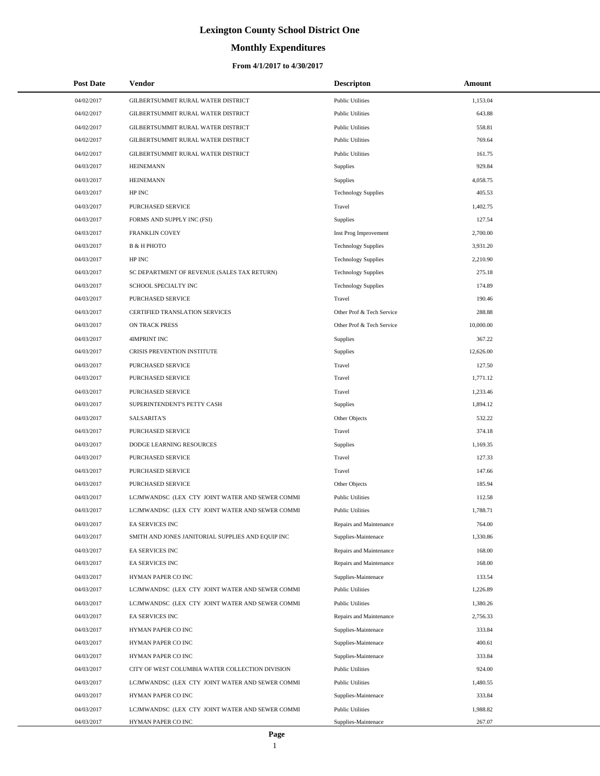# **Monthly Expenditures**

| <b>Post Date</b>         | Vendor                                                                | <b>Descripton</b>                              | Amount             |
|--------------------------|-----------------------------------------------------------------------|------------------------------------------------|--------------------|
| 04/02/2017               | GILBERTSUMMIT RURAL WATER DISTRICT                                    | <b>Public Utilities</b>                        | 1,153.04           |
| 04/02/2017               | GILBERTSUMMIT RURAL WATER DISTRICT                                    | <b>Public Utilities</b>                        | 643.88             |
| 04/02/2017               | GILBERTSUMMIT RURAL WATER DISTRICT                                    | <b>Public Utilities</b>                        | 558.81             |
| 04/02/2017               | GILBERTSUMMIT RURAL WATER DISTRICT                                    | <b>Public Utilities</b>                        | 769.64             |
| 04/02/2017               | GILBERTSUMMIT RURAL WATER DISTRICT                                    | <b>Public Utilities</b>                        | 161.75             |
| 04/03/2017               | <b>HEINEMANN</b>                                                      | Supplies                                       | 929.84             |
| 04/03/2017               | <b>HEINEMANN</b>                                                      | Supplies                                       | 4,058.75           |
| 04/03/2017               | HP INC                                                                | <b>Technology Supplies</b>                     | 405.53             |
| 04/03/2017               | PURCHASED SERVICE                                                     | Travel                                         | 1,402.75           |
| 04/03/2017               | FORMS AND SUPPLY INC (FSI)                                            | Supplies                                       | 127.54             |
| 04/03/2017               | FRANKLIN COVEY                                                        | Inst Prog Improvement                          | 2,700.00           |
| 04/03/2017               | <b>B &amp; H PHOTO</b>                                                | <b>Technology Supplies</b>                     | 3,931.20           |
| 04/03/2017               | HP INC                                                                | <b>Technology Supplies</b>                     | 2,210.90           |
| 04/03/2017               | SC DEPARTMENT OF REVENUE (SALES TAX RETURN)                           | <b>Technology Supplies</b>                     | 275.18             |
| 04/03/2017               | SCHOOL SPECIALTY INC                                                  | <b>Technology Supplies</b>                     | 174.89             |
| 04/03/2017               | PURCHASED SERVICE                                                     | Travel                                         | 190.46             |
| 04/03/2017               | CERTIFIED TRANSLATION SERVICES                                        | Other Prof & Tech Service                      | 288.88             |
| 04/03/2017               | ON TRACK PRESS                                                        | Other Prof & Tech Service                      | 10,000.00          |
| 04/03/2017               | 4IMPRINT INC                                                          | Supplies                                       | 367.22             |
| 04/03/2017               | CRISIS PREVENTION INSTITUTE                                           | Supplies                                       | 12,626.00          |
| 04/03/2017               | PURCHASED SERVICE                                                     | Travel                                         | 127.50             |
| 04/03/2017               | PURCHASED SERVICE                                                     | Travel                                         | 1,771.12           |
| 04/03/2017               | PURCHASED SERVICE                                                     | Travel                                         | 1,233.46           |
| 04/03/2017               | SUPERINTENDENT'S PETTY CASH                                           | Supplies                                       | 1,894.12           |
| 04/03/2017               | <b>SALSARITA'S</b>                                                    | Other Objects                                  | 532.22             |
| 04/03/2017               | PURCHASED SERVICE                                                     | Travel                                         | 374.18             |
| 04/03/2017               | DODGE LEARNING RESOURCES                                              | Supplies                                       | 1,169.35           |
| 04/03/2017               | PURCHASED SERVICE                                                     | Travel                                         | 127.33             |
| 04/03/2017               | PURCHASED SERVICE                                                     | Travel                                         | 147.66             |
| 04/03/2017               | PURCHASED SERVICE                                                     | Other Objects                                  | 185.94             |
| 04/03/2017               | LCJMWANDSC (LEX CTY JOINT WATER AND SEWER COMMI                       | <b>Public Utilities</b>                        | 112.58             |
| 04/03/2017               | LCJMWANDSC (LEX CTY JOINT WATER AND SEWER COMMI                       | <b>Public Utilities</b>                        | 1,788.71           |
| 04/03/2017               | EA SERVICES INC                                                       | Repairs and Maintenance                        | 764.00             |
| 04/03/2017               | SMITH AND JONES JANITORIAL SUPPLIES AND EQUIP INC                     | Supplies-Maintenace                            | 1,330.86           |
| 04/03/2017               | EA SERVICES INC                                                       | Repairs and Maintenance                        | 168.00             |
| 04/03/2017               | <b>EA SERVICES INC</b>                                                | Repairs and Maintenance                        | 168.00             |
| 04/03/2017               | HYMAN PAPER CO INC                                                    | Supplies-Maintenace                            | 133.54             |
| 04/03/2017               | LCJMWANDSC (LEX CTY JOINT WATER AND SEWER COMMI                       | <b>Public Utilities</b>                        | 1,226.89           |
| 04/03/2017               | LCJMWANDSC (LEX CTY JOINT WATER AND SEWER COMMI                       | <b>Public Utilities</b>                        | 1,380.26           |
| 04/03/2017               | EA SERVICES INC                                                       | Repairs and Maintenance                        | 2,756.33           |
| 04/03/2017               | HYMAN PAPER CO INC                                                    | Supplies-Maintenace                            | 333.84             |
| 04/03/2017               | HYMAN PAPER CO INC                                                    | Supplies-Maintenace                            | 400.61             |
| 04/03/2017               | HYMAN PAPER CO INC                                                    | Supplies-Maintenace                            | 333.84             |
| 04/03/2017               | CITY OF WEST COLUMBIA WATER COLLECTION DIVISION                       | <b>Public Utilities</b>                        | 924.00             |
| 04/03/2017<br>04/03/2017 | LCJMWANDSC (LEX CTY JOINT WATER AND SEWER COMMI<br>HYMAN PAPER CO INC | <b>Public Utilities</b><br>Supplies-Maintenace | 1,480.55<br>333.84 |
| 04/03/2017               | LCJMWANDSC (LEX CTY JOINT WATER AND SEWER COMMI                       | <b>Public Utilities</b>                        | 1,988.82           |
| 04/03/2017               | HYMAN PAPER CO INC                                                    | Supplies-Maintenace                            | 267.07             |
|                          |                                                                       |                                                |                    |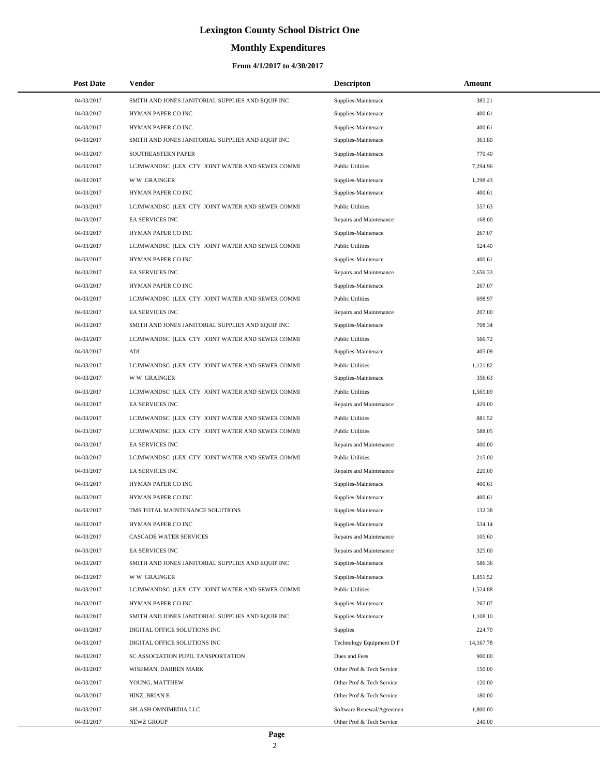# **Monthly Expenditures**

| <b>Post Date</b> | Vendor                                            | <b>Descripton</b>         | Amount    |
|------------------|---------------------------------------------------|---------------------------|-----------|
| 04/03/2017       | SMITH AND JONES JANITORIAL SUPPLIES AND EQUIP INC | Supplies-Maintenace       | 385.21    |
| 04/03/2017       | HYMAN PAPER CO INC                                | Supplies-Maintenace       | 400.61    |
| 04/03/2017       | HYMAN PAPER CO INC                                | Supplies-Maintenace       | 400.61    |
| 04/03/2017       | SMITH AND JONES JANITORIAL SUPPLIES AND EQUIP INC | Supplies-Maintenace       | 363.80    |
| 04/03/2017       | SOUTHEASTERN PAPER                                | Supplies-Maintenace       | 770.40    |
| 04/03/2017       | LCJMWANDSC (LEX CTY JOINT WATER AND SEWER COMMI   | <b>Public Utilities</b>   | 7,294.96  |
| 04/03/2017       | <b>WW GRAINGER</b>                                | Supplies-Maintenace       | 1,298.43  |
| 04/03/2017       | HYMAN PAPER CO INC                                | Supplies-Maintenace       | 400.61    |
| 04/03/2017       | LCJMWANDSC (LEX CTY JOINT WATER AND SEWER COMMI   | <b>Public Utilities</b>   | 557.63    |
| 04/03/2017       | <b>EA SERVICES INC</b>                            | Repairs and Maintenance   | 168.00    |
| 04/03/2017       | HYMAN PAPER CO INC                                | Supplies-Maintenace       | 267.07    |
| 04/03/2017       | LCJMWANDSC (LEX CTY JOINT WATER AND SEWER COMMI   | <b>Public Utilities</b>   | 524.40    |
| 04/03/2017       | HYMAN PAPER CO INC                                | Supplies-Maintenace       | 400.61    |
| 04/03/2017       | EA SERVICES INC                                   | Repairs and Maintenance   | 2,656.33  |
| 04/03/2017       | HYMAN PAPER CO INC                                | Supplies-Maintenace       | 267.07    |
| 04/03/2017       | LCJMWANDSC (LEX CTY JOINT WATER AND SEWER COMMI   | <b>Public Utilities</b>   | 698.97    |
| 04/03/2017       | EA SERVICES INC                                   | Repairs and Maintenance   | 207.00    |
| 04/03/2017       | SMITH AND JONES JANITORIAL SUPPLIES AND EQUIP INC | Supplies-Maintenace       | 708.34    |
| 04/03/2017       | LCJMWANDSC (LEX CTY JOINT WATER AND SEWER COMMI   | <b>Public Utilities</b>   | 566.72    |
| 04/03/2017       | ADI                                               | Supplies-Maintenace       | 405.09    |
| 04/03/2017       | LCJMWANDSC (LEX CTY JOINT WATER AND SEWER COMMI   | <b>Public Utilities</b>   | 1,121.82  |
| 04/03/2017       | <b>WW GRAINGER</b>                                | Supplies-Maintenace       | 356.63    |
| 04/03/2017       | LCJMWANDSC (LEX CTY JOINT WATER AND SEWER COMMI   | <b>Public Utilities</b>   | 1,565.89  |
| 04/03/2017       | <b>EA SERVICES INC</b>                            | Repairs and Maintenance   | 429.00    |
| 04/03/2017       | LCJMWANDSC (LEX CTY JOINT WATER AND SEWER COMMI   | <b>Public Utilities</b>   | 881.52    |
| 04/03/2017       | LCJMWANDSC (LEX CTY JOINT WATER AND SEWER COMMI   | <b>Public Utilities</b>   | 588.05    |
| 04/03/2017       | <b>EA SERVICES INC</b>                            | Repairs and Maintenance   | 400.00    |
| 04/03/2017       | LCJMWANDSC (LEX CTY JOINT WATER AND SEWER COMMI   | <b>Public Utilities</b>   | 215.00    |
| 04/03/2017       | EA SERVICES INC                                   | Repairs and Maintenance   | 220.00    |
| 04/03/2017       | HYMAN PAPER CO INC                                | Supplies-Maintenace       | 400.61    |
| 04/03/2017       | HYMAN PAPER CO INC                                | Supplies-Maintenace       | 400.61    |
| 04/03/2017       | TMS TOTAL MAINTENANCE SOLUTIONS                   | Supplies-Maintenace       | 132.38    |
| 04/03/2017       | HYMAN PAPER CO INC                                | Supplies-Maintenace       | 534.14    |
| 04/03/2017       | <b>CASCADE WATER SERVICES</b>                     | Repairs and Maintenance   | 105.60    |
| 04/03/2017       | EA SERVICES INC                                   | Repairs and Maintenance   | 325.00    |
| 04/03/2017       | SMITH AND JONES JANITORIAL SUPPLIES AND EQUIP INC | Supplies-Maintenace       | 586.36    |
| 04/03/2017       | <b>WW GRAINGER</b>                                | Supplies-Maintenace       | 1,851.52  |
| 04/03/2017       | LCJMWANDSC (LEX CTY JOINT WATER AND SEWER COMMI   | <b>Public Utilities</b>   | 1,524.88  |
| 04/03/2017       | HYMAN PAPER CO INC                                | Supplies-Maintenace       | 267.07    |
| 04/03/2017       | SMITH AND JONES JANITORIAL SUPPLIES AND EQUIP INC | Supplies-Maintenace       | 1,108.10  |
| 04/03/2017       | DIGITAL OFFICE SOLUTIONS INC                      | Supplies                  | 224.70    |
| 04/03/2017       | DIGITAL OFFICE SOLUTIONS INC                      | Technology Equipment D F  | 14,167.78 |
| 04/03/2017       | SC ASSOCIATION PUPIL TANSPORTATION                | Dues and Fees             | 900.00    |
| 04/03/2017       | WISEMAN, DARREN MARK                              | Other Prof & Tech Service | 150.00    |
| 04/03/2017       | YOUNG, MATTHEW                                    | Other Prof & Tech Service | 120.00    |
| 04/03/2017       | HINZ, BRIAN E                                     | Other Prof & Tech Service | 180.00    |
| 04/03/2017       | SPLASH OMNIMEDIA LLC                              | Software Renewal/Agreemen | 1,800.00  |
| 04/03/2017       | NEWZ GROUP                                        | Other Prof & Tech Service | 240.00    |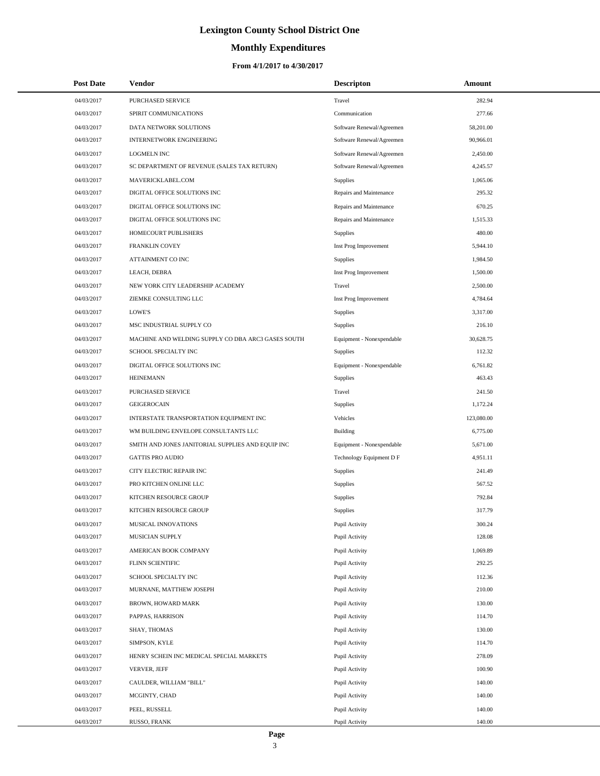# **Monthly Expenditures**

## **From 4/1/2017 to 4/30/2017**

| <b>Post Date</b> | Vendor                                             | <b>Descripton</b>         | Amount     |  |
|------------------|----------------------------------------------------|---------------------------|------------|--|
| 04/03/2017       | <b>PURCHASED SERVICE</b>                           | Travel                    | 282.94     |  |
| 04/03/2017       | SPIRIT COMMUNICATIONS                              | Communication             | 277.66     |  |
| 04/03/2017       | DATA NETWORK SOLUTIONS                             | Software Renewal/Agreemen | 58,201.00  |  |
| 04/03/2017       | <b>INTERNETWORK ENGINEERING</b>                    | Software Renewal/Agreemen | 90,966.01  |  |
| 04/03/2017       | <b>LOGMELN INC</b>                                 | Software Renewal/Agreemen | 2,450.00   |  |
| 04/03/2017       | SC DEPARTMENT OF REVENUE (SALES TAX RETURN)        | Software Renewal/Agreemen | 4,245.57   |  |
| 04/03/2017       | MAVERICKLABEL.COM                                  | <b>Supplies</b>           | 1,065.06   |  |
| 04/03/2017       | DIGITAL OFFICE SOLUTIONS INC                       | Repairs and Maintenance   | 295.32     |  |
| 04/03/2017       | DIGITAL OFFICE SOLUTIONS INC                       | Repairs and Maintenance   | 670.25     |  |
| 04/03/2017       | DIGITAL OFFICE SOLUTIONS INC                       | Repairs and Maintenance   | 1,515.33   |  |
| 04/03/2017       | HOMECOURT PUBLISHERS                               | <b>Supplies</b>           | 480.00     |  |
| 04/03/2017       | FRANKLIN COVEY                                     | Inst Prog Improvement     | 5,944.10   |  |
| 04/03/2017       | ATTAINMENT CO INC                                  | <b>Supplies</b>           | 1,984.50   |  |
| 04/03/2017       | LEACH, DEBRA                                       | Inst Prog Improvement     | 1,500.00   |  |
| 04/03/2017       | NEW YORK CITY LEADERSHIP ACADEMY                   | Travel                    | 2,500.00   |  |
| 04/03/2017       | ZIEMKE CONSULTING LLC                              | Inst Prog Improvement     | 4,784.64   |  |
| 04/03/2017       | LOWE'S                                             | Supplies                  | 3,317.00   |  |
| 04/03/2017       | MSC INDUSTRIAL SUPPLY CO                           | Supplies                  | 216.10     |  |
| 04/03/2017       | MACHINE AND WELDING SUPPLY CO DBA ARC3 GASES SOUTH | Equipment - Nonexpendable | 30,628.75  |  |
| 04/03/2017       | SCHOOL SPECIALTY INC                               | Supplies                  | 112.32     |  |
| 04/03/2017       | DIGITAL OFFICE SOLUTIONS INC                       | Equipment - Nonexpendable | 6,761.82   |  |
| 04/03/2017       | <b>HEINEMANN</b>                                   | Supplies                  | 463.43     |  |
| 04/03/2017       | PURCHASED SERVICE                                  | Travel                    | 241.50     |  |
| 04/03/2017       | <b>GEIGEROCAIN</b>                                 | Supplies                  | 1,172.24   |  |
| 04/03/2017       | INTERSTATE TRANSPORTATION EQUIPMENT INC            | Vehicles                  | 123,080.00 |  |
| 04/03/2017       | WM BUILDING ENVELOPE CONSULTANTS LLC               | <b>Building</b>           | 6,775.00   |  |
| 04/03/2017       | SMITH AND JONES JANITORIAL SUPPLIES AND EQUIP INC  | Equipment - Nonexpendable | 5,671.00   |  |
| 04/03/2017       | <b>GATTIS PRO AUDIO</b>                            | Technology Equipment D F  | 4,951.11   |  |
| 04/03/2017       | CITY ELECTRIC REPAIR INC                           | <b>Supplies</b>           | 241.49     |  |
| 04/03/2017       | PRO KITCHEN ONLINE LLC                             | Supplies                  | 567.52     |  |
| 04/03/2017       | KITCHEN RESOURCE GROUP                             | Supplies                  | 792.84     |  |
| 04/03/2017       | KITCHEN RESOURCE GROUP                             | Supplies                  | 317.79     |  |
| 04/03/2017       | MUSICAL INNOVATIONS                                | Pupil Activity            | 300.24     |  |
| 04/03/2017       | MUSICIAN SUPPLY                                    | Pupil Activity            | 128.08     |  |
| 04/03/2017       | AMERICAN BOOK COMPANY                              | Pupil Activity            | 1,069.89   |  |
| 04/03/2017       | FLINN SCIENTIFIC                                   | Pupil Activity            | 292.25     |  |
| 04/03/2017       | SCHOOL SPECIALTY INC                               | Pupil Activity            | 112.36     |  |
| 04/03/2017       | MURNANE, MATTHEW JOSEPH                            | Pupil Activity            | 210.00     |  |
| 04/03/2017       | BROWN, HOWARD MARK                                 | Pupil Activity            | 130.00     |  |
| 04/03/2017       | PAPPAS, HARRISON                                   | Pupil Activity            | 114.70     |  |
| 04/03/2017       | SHAY, THOMAS                                       | Pupil Activity            | 130.00     |  |
| 04/03/2017       | SIMPSON, KYLE                                      | Pupil Activity            | 114.70     |  |
| 04/03/2017       | HENRY SCHEIN INC MEDICAL SPECIAL MARKETS           | Pupil Activity            | 278.09     |  |
| 04/03/2017       | VERVER, JEFF                                       | Pupil Activity            | 100.90     |  |
| 04/03/2017       | CAULDER, WILLIAM "BILL"                            | Pupil Activity            | 140.00     |  |
| 04/03/2017       | MCGINTY, CHAD                                      | Pupil Activity            | 140.00     |  |
| 04/03/2017       | PEEL, RUSSELL                                      | Pupil Activity            | 140.00     |  |
| 04/03/2017       | RUSSO, FRANK                                       | Pupil Activity            | 140.00     |  |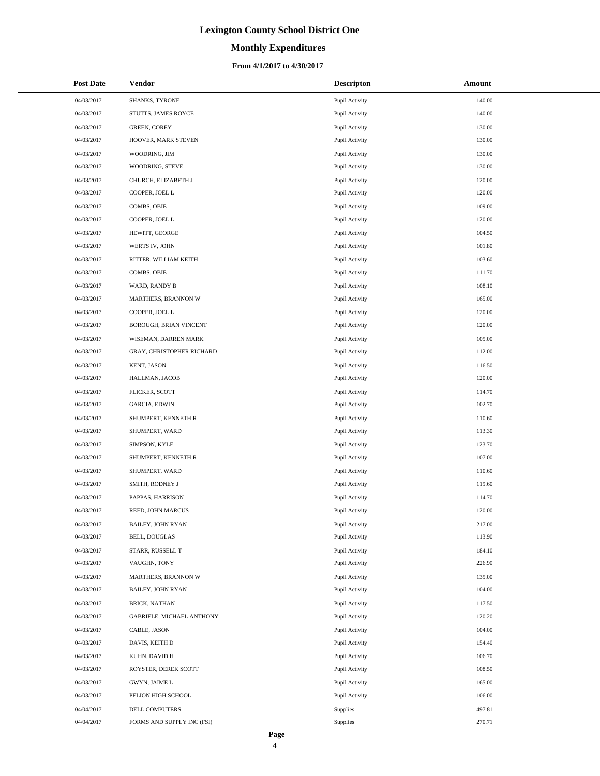## **Monthly Expenditures**

| <b>Post Date</b> | Vendor                     | <b>Descripton</b> | Amount |
|------------------|----------------------------|-------------------|--------|
| 04/03/2017       | SHANKS, TYRONE             | Pupil Activity    | 140.00 |
| 04/03/2017       | STUTTS, JAMES ROYCE        | Pupil Activity    | 140.00 |
| 04/03/2017       | <b>GREEN, COREY</b>        | Pupil Activity    | 130.00 |
| 04/03/2017       | HOOVER, MARK STEVEN        | Pupil Activity    | 130.00 |
| 04/03/2017       | WOODRING, JIM              | Pupil Activity    | 130.00 |
| 04/03/2017       | WOODRING, STEVE            | Pupil Activity    | 130.00 |
| 04/03/2017       | CHURCH, ELIZABETH J        | Pupil Activity    | 120.00 |
| 04/03/2017       | COOPER, JOEL L             | Pupil Activity    | 120.00 |
| 04/03/2017       | COMBS, OBIE                | Pupil Activity    | 109.00 |
| 04/03/2017       | COOPER, JOEL L             | Pupil Activity    | 120.00 |
| 04/03/2017       | HEWITT, GEORGE             | Pupil Activity    | 104.50 |
| 04/03/2017       | WERTS IV, JOHN             | Pupil Activity    | 101.80 |
| 04/03/2017       | RITTER, WILLIAM KEITH      | Pupil Activity    | 103.60 |
| 04/03/2017       | COMBS, OBIE                | Pupil Activity    | 111.70 |
| 04/03/2017       | WARD, RANDY B              | Pupil Activity    | 108.10 |
| 04/03/2017       | MARTHERS, BRANNON W        | Pupil Activity    | 165.00 |
| 04/03/2017       | COOPER, JOEL L             | Pupil Activity    | 120.00 |
| 04/03/2017       | BOROUGH, BRIAN VINCENT     | Pupil Activity    | 120.00 |
| 04/03/2017       | WISEMAN, DARREN MARK       | Pupil Activity    | 105.00 |
| 04/03/2017       | GRAY, CHRISTOPHER RICHARD  | Pupil Activity    | 112.00 |
| 04/03/2017       | KENT, JASON                | Pupil Activity    | 116.50 |
| 04/03/2017       | HALLMAN, JACOB             | Pupil Activity    | 120.00 |
| 04/03/2017       | FLICKER, SCOTT             | Pupil Activity    | 114.70 |
| 04/03/2017       | <b>GARCIA, EDWIN</b>       | Pupil Activity    | 102.70 |
| 04/03/2017       | SHUMPERT, KENNETH R        | Pupil Activity    | 110.60 |
| 04/03/2017       | SHUMPERT, WARD             | Pupil Activity    | 113.30 |
| 04/03/2017       | SIMPSON, KYLE              | Pupil Activity    | 123.70 |
| 04/03/2017       | SHUMPERT, KENNETH R        | Pupil Activity    | 107.00 |
| 04/03/2017       | SHUMPERT, WARD             | Pupil Activity    | 110.60 |
| 04/03/2017       | SMITH, RODNEY J            | Pupil Activity    | 119.60 |
| 04/03/2017       | PAPPAS, HARRISON           | Pupil Activity    | 114.70 |
| 04/03/2017       | REED, JOHN MARCUS          | Pupil Activity    | 120.00 |
| 04/03/2017       | <b>BAILEY, JOHN RYAN</b>   | Pupil Activity    | 217.00 |
| 04/03/2017       | <b>BELL, DOUGLAS</b>       | Pupil Activity    | 113.90 |
| 04/03/2017       | STARR, RUSSELL T           | Pupil Activity    | 184.10 |
| 04/03/2017       | VAUGHN, TONY               | Pupil Activity    | 226.90 |
| 04/03/2017       | MARTHERS, BRANNON W        | Pupil Activity    | 135.00 |
| 04/03/2017       | <b>BAILEY, JOHN RYAN</b>   | Pupil Activity    | 104.00 |
| 04/03/2017       | <b>BRICK, NATHAN</b>       | Pupil Activity    | 117.50 |
| 04/03/2017       | GABRIELE, MICHAEL ANTHONY  | Pupil Activity    | 120.20 |
| 04/03/2017       | CABLE, JASON               | Pupil Activity    | 104.00 |
| 04/03/2017       | DAVIS, KEITH D             | Pupil Activity    | 154.40 |
| 04/03/2017       | KUHN, DAVID H              | Pupil Activity    | 106.70 |
| 04/03/2017       | ROYSTER, DEREK SCOTT       | Pupil Activity    | 108.50 |
| 04/03/2017       | GWYN, JAIME L              | Pupil Activity    | 165.00 |
| 04/03/2017       | PELION HIGH SCHOOL         | Pupil Activity    | 106.00 |
| 04/04/2017       | DELL COMPUTERS             | Supplies          | 497.81 |
| 04/04/2017       | FORMS AND SUPPLY INC (FSI) | Supplies          | 270.71 |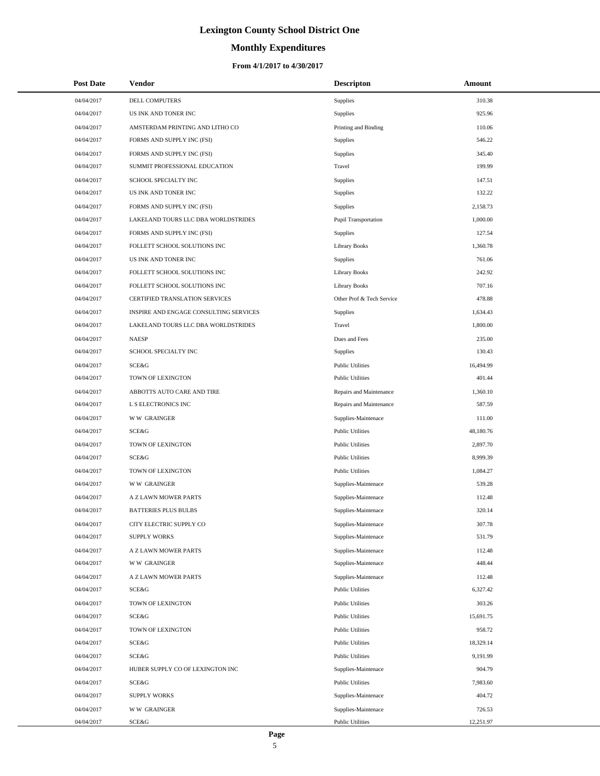# **Monthly Expenditures**

## **From 4/1/2017 to 4/30/2017**

| <b>Post Date</b> | <b>Vendor</b>                          | <b>Descripton</b>           | Amount    |
|------------------|----------------------------------------|-----------------------------|-----------|
| 04/04/2017       | DELL COMPUTERS                         | Supplies                    | 310.38    |
| 04/04/2017       | US INK AND TONER INC                   | Supplies                    | 925.96    |
| 04/04/2017       | AMSTERDAM PRINTING AND LITHO CO        | Printing and Binding        | 110.06    |
| 04/04/2017       | FORMS AND SUPPLY INC (FSI)             | Supplies                    | 546.22    |
| 04/04/2017       | FORMS AND SUPPLY INC (FSI)             | Supplies                    | 345.40    |
| 04/04/2017       | SUMMIT PROFESSIONAL EDUCATION          | Travel                      | 199.99    |
| 04/04/2017       | SCHOOL SPECIALTY INC                   | Supplies                    | 147.51    |
| 04/04/2017       | US INK AND TONER INC                   | Supplies                    | 132.22    |
| 04/04/2017       | FORMS AND SUPPLY INC (FSI)             | Supplies                    | 2,158.73  |
| 04/04/2017       | LAKELAND TOURS LLC DBA WORLDSTRIDES    | <b>Pupil Transportation</b> | 1,000.00  |
| 04/04/2017       | FORMS AND SUPPLY INC (FSI)             | Supplies                    | 127.54    |
| 04/04/2017       | FOLLETT SCHOOL SOLUTIONS INC           | <b>Library Books</b>        | 1,360.78  |
| 04/04/2017       | US INK AND TONER INC                   | Supplies                    | 761.06    |
| 04/04/2017       | FOLLETT SCHOOL SOLUTIONS INC           | <b>Library Books</b>        | 242.92    |
| 04/04/2017       | FOLLETT SCHOOL SOLUTIONS INC           | <b>Library Books</b>        | 707.16    |
| 04/04/2017       | CERTIFIED TRANSLATION SERVICES         | Other Prof & Tech Service   | 478.88    |
| 04/04/2017       | INSPIRE AND ENGAGE CONSULTING SERVICES | Supplies                    | 1.634.43  |
| 04/04/2017       | LAKELAND TOURS LLC DBA WORLDSTRIDES    | Travel                      | 1,800.00  |
| 04/04/2017       | <b>NAESP</b>                           | Dues and Fees               | 235.00    |
| 04/04/2017       | SCHOOL SPECIALTY INC                   | Supplies                    | 130.43    |
| 04/04/2017       | SCE&G                                  | <b>Public Utilities</b>     | 16,494.99 |
| 04/04/2017       | TOWN OF LEXINGTON                      | <b>Public Utilities</b>     | 401.44    |
| 04/04/2017       | ABBOTTS AUTO CARE AND TIRE             | Repairs and Maintenance     | 1,360.10  |
| 04/04/2017       | L S ELECTRONICS INC                    | Repairs and Maintenance     | 587.59    |
| 04/04/2017       | <b>WW GRAINGER</b>                     | Supplies-Maintenace         | 111.00    |
| 04/04/2017       | SCE&G                                  | <b>Public Utilities</b>     | 48,180.76 |
| 04/04/2017       | TOWN OF LEXINGTON                      | <b>Public Utilities</b>     | 2,897.70  |
| 04/04/2017       | SCE&G                                  | <b>Public Utilities</b>     | 8,999.39  |
| 04/04/2017       | TOWN OF LEXINGTON                      | <b>Public Utilities</b>     | 1,084.27  |
| 04/04/2017       | <b>WW GRAINGER</b>                     | Supplies-Maintenace         | 539.28    |
| 04/04/2017       | A Z LAWN MOWER PARTS                   | Supplies-Maintenace         | 112.48    |
| 04/04/2017       | <b>BATTERIES PLUS BULBS</b>            | Supplies-Maintenace         | 320.14    |
| 04/04/2017       | CITY ELECTRIC SUPPLY CO                | Supplies-Maintenace         | 307.78    |
| 04/04/2017       | <b>SUPPLY WORKS</b>                    | Supplies-Maintenace         | 531.79    |
| 04/04/2017       | A Z LAWN MOWER PARTS                   | Supplies-Maintenace         | 112.48    |
| 04/04/2017       | <b>WW GRAINGER</b>                     | Supplies-Maintenace         | 448.44    |
| 04/04/2017       | A Z LAWN MOWER PARTS                   | Supplies-Maintenace         | 112.48    |
| 04/04/2017       | SCE&G                                  | <b>Public Utilities</b>     | 6,327.42  |
| 04/04/2017       | TOWN OF LEXINGTON                      | <b>Public Utilities</b>     | 303.26    |
| 04/04/2017       | SCE&G                                  | <b>Public Utilities</b>     | 15,691.75 |
| 04/04/2017       | TOWN OF LEXINGTON                      | <b>Public Utilities</b>     | 958.72    |
| 04/04/2017       | SCE&G                                  | <b>Public Utilities</b>     | 18,329.14 |
| 04/04/2017       | SCE&G                                  | <b>Public Utilities</b>     | 9,191.99  |
| 04/04/2017       | HUBER SUPPLY CO OF LEXINGTON INC       | Supplies-Maintenace         | 904.79    |
| 04/04/2017       | SCE&G                                  | <b>Public Utilities</b>     | 7,983.60  |
| 04/04/2017       | <b>SUPPLY WORKS</b>                    | Supplies-Maintenace         | 404.72    |
| 04/04/2017       | <b>WW GRAINGER</b>                     | Supplies-Maintenace         | 726.53    |
| 04/04/2017       | SCE&G                                  | <b>Public Utilities</b>     | 12,251.97 |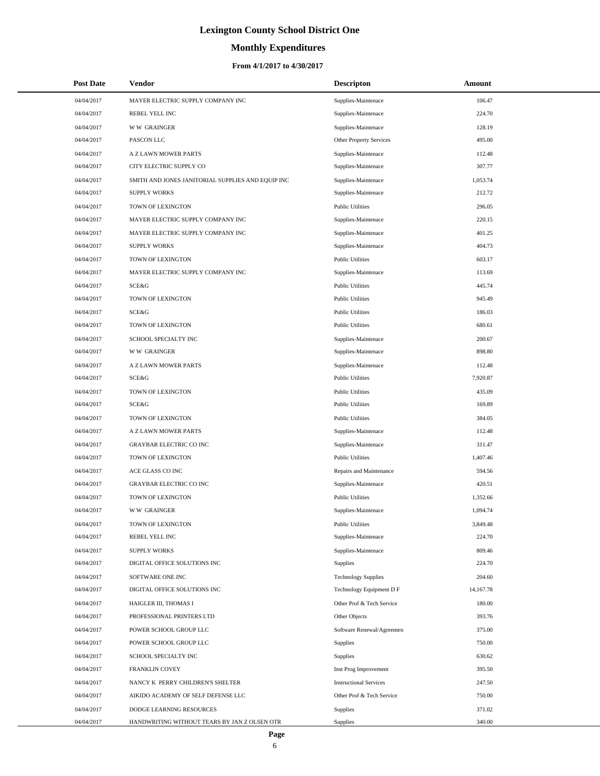# **Monthly Expenditures**

## **From 4/1/2017 to 4/30/2017**

| <b>Post Date</b> | <b>Vendor</b>                                     | <b>Descripton</b>             | Amount    |
|------------------|---------------------------------------------------|-------------------------------|-----------|
| 04/04/2017       | MAYER ELECTRIC SUPPLY COMPANY INC                 | Supplies-Maintenace           | 106.47    |
| 04/04/2017       | REBEL YELL INC                                    | Supplies-Maintenace           | 224.70    |
| 04/04/2017       | <b>WW GRAINGER</b>                                | Supplies-Maintenace           | 128.19    |
| 04/04/2017       | PASCON LLC                                        | Other Property Services       | 495.00    |
| 04/04/2017       | A Z LAWN MOWER PARTS                              | Supplies-Maintenace           | 112.48    |
| 04/04/2017       | CITY ELECTRIC SUPPLY CO                           | Supplies-Maintenace           | 307.77    |
| 04/04/2017       | SMITH AND JONES JANITORIAL SUPPLIES AND EQUIP INC | Supplies-Maintenace           | 1,053.74  |
| 04/04/2017       | <b>SUPPLY WORKS</b>                               | Supplies-Maintenace           | 212.72    |
| 04/04/2017       | TOWN OF LEXINGTON                                 | <b>Public Utilities</b>       | 296.05    |
| 04/04/2017       | MAYER ELECTRIC SUPPLY COMPANY INC                 | Supplies-Maintenace           | 220.15    |
| 04/04/2017       | MAYER ELECTRIC SUPPLY COMPANY INC                 | Supplies-Maintenace           | 401.25    |
| 04/04/2017       | <b>SUPPLY WORKS</b>                               | Supplies-Maintenace           | 404.73    |
| 04/04/2017       | TOWN OF LEXINGTON                                 | <b>Public Utilities</b>       | 603.17    |
| 04/04/2017       | MAYER ELECTRIC SUPPLY COMPANY INC                 | Supplies-Maintenace           | 113.69    |
| 04/04/2017       | SCE&G                                             | <b>Public Utilities</b>       | 445.74    |
| 04/04/2017       | TOWN OF LEXINGTON                                 | <b>Public Utilities</b>       | 945.49    |
| 04/04/2017       | SCE&G                                             | <b>Public Utilities</b>       | 186.03    |
| 04/04/2017       | TOWN OF LEXINGTON                                 | <b>Public Utilities</b>       | 680.61    |
| 04/04/2017       | SCHOOL SPECIALTY INC                              | Supplies-Maintenace           | 200.67    |
| 04/04/2017       | <b>WW GRAINGER</b>                                | Supplies-Maintenace           | 898.80    |
| 04/04/2017       | A Z LAWN MOWER PARTS                              | Supplies-Maintenace           | 112.48    |
| 04/04/2017       | SCE&G                                             | <b>Public Utilities</b>       | 7,920.87  |
| 04/04/2017       | TOWN OF LEXINGTON                                 | <b>Public Utilities</b>       | 435.09    |
| 04/04/2017       | SCE&G                                             | <b>Public Utilities</b>       | 169.89    |
| 04/04/2017       | TOWN OF LEXINGTON                                 | <b>Public Utilities</b>       | 384.05    |
| 04/04/2017       | A Z LAWN MOWER PARTS                              | Supplies-Maintenace           | 112.48    |
| 04/04/2017       | GRAYBAR ELECTRIC CO INC                           | Supplies-Maintenace           | 311.47    |
| 04/04/2017       | TOWN OF LEXINGTON                                 | <b>Public Utilities</b>       | 1,407.46  |
| 04/04/2017       | ACE GLASS CO INC                                  | Repairs and Maintenance       | 594.56    |
| 04/04/2017       | GRAYBAR ELECTRIC CO INC                           | Supplies-Maintenace           | 420.51    |
| 04/04/2017       | TOWN OF LEXINGTON                                 | <b>Public Utilities</b>       | 1,352.66  |
| 04/04/2017       | <b>WW GRAINGER</b>                                | Supplies-Maintenace           | 1,094.74  |
| 04/04/2017       | TOWN OF LEXINGTON                                 | <b>Public Utilities</b>       | 3,849.48  |
| 04/04/2017       | REBEL YELL INC                                    | Supplies-Maintenace           | 224.70    |
| 04/04/2017       | <b>SUPPLY WORKS</b>                               | Supplies-Maintenace           | 809.46    |
| 04/04/2017       | DIGITAL OFFICE SOLUTIONS INC                      | Supplies                      | 224.70    |
| 04/04/2017       | SOFTWARE ONE INC                                  | <b>Technology Supplies</b>    | 204.60    |
| 04/04/2017       | DIGITAL OFFICE SOLUTIONS INC                      | Technology Equipment D F      | 14,167.78 |
| 04/04/2017       | HAIGLER III, THOMAS I                             | Other Prof & Tech Service     | 180.00    |
| 04/04/2017       | PROFESSIONAL PRINTERS LTD                         | Other Objects                 | 393.76    |
| 04/04/2017       | POWER SCHOOL GROUP LLC                            | Software Renewal/Agreemen     | 375.00    |
| 04/04/2017       | POWER SCHOOL GROUP LLC                            | <b>Supplies</b>               | 750.00    |
| 04/04/2017       | SCHOOL SPECIALTY INC                              | <b>Supplies</b>               | 630.62    |
| 04/04/2017       | FRANKLIN COVEY                                    | Inst Prog Improvement         | 395.50    |
| 04/04/2017       | NANCY K PERRY CHILDREN'S SHELTER                  | <b>Instructional Services</b> | 247.50    |
| 04/04/2017       | AIKIDO ACADEMY OF SELF DEFENSE LLC                | Other Prof & Tech Service     | 750.00    |
| 04/04/2017       | DODGE LEARNING RESOURCES                          | <b>Supplies</b>               | 371.02    |
| 04/04/2017       | HANDWRITING WITHOUT TEARS BY JAN Z OLSEN OTR      | Supplies                      | 340.00    |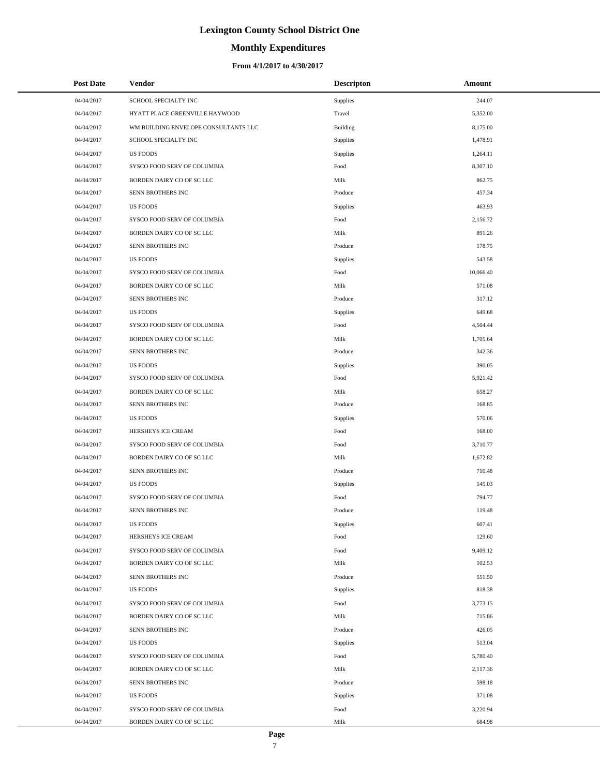# **Monthly Expenditures**

## **From 4/1/2017 to 4/30/2017**

| <b>Post Date</b> | Vendor                               | <b>Descripton</b> | Amount    |  |
|------------------|--------------------------------------|-------------------|-----------|--|
| 04/04/2017       | SCHOOL SPECIALTY INC                 | Supplies          | 244.07    |  |
| 04/04/2017       | HYATT PLACE GREENVILLE HAYWOOD       | Travel            | 5,352.00  |  |
| 04/04/2017       | WM BUILDING ENVELOPE CONSULTANTS LLC | <b>Building</b>   | 8,175.00  |  |
| 04/04/2017       | SCHOOL SPECIALTY INC                 | Supplies          | 1,478.91  |  |
| 04/04/2017       | <b>US FOODS</b>                      | Supplies          | 1,264.11  |  |
| 04/04/2017       | SYSCO FOOD SERV OF COLUMBIA          | Food              | 8,307.10  |  |
| 04/04/2017       | BORDEN DAIRY CO OF SC LLC            | Milk              | 862.75    |  |
| 04/04/2017       | SENN BROTHERS INC                    | Produce           | 457.34    |  |
| 04/04/2017       | <b>US FOODS</b>                      | Supplies          | 463.93    |  |
| 04/04/2017       | SYSCO FOOD SERV OF COLUMBIA          | Food              | 2,156.72  |  |
| 04/04/2017       | BORDEN DAIRY CO OF SC LLC            | Milk              | 891.26    |  |
| 04/04/2017       | SENN BROTHERS INC                    | Produce           | 178.75    |  |
| 04/04/2017       | <b>US FOODS</b>                      | Supplies          | 543.58    |  |
| 04/04/2017       | SYSCO FOOD SERV OF COLUMBIA          | Food              | 10,066.40 |  |
| 04/04/2017       | BORDEN DAIRY CO OF SC LLC            | Milk              | 571.08    |  |
| 04/04/2017       | SENN BROTHERS INC                    | Produce           | 317.12    |  |
| 04/04/2017       | <b>US FOODS</b>                      | Supplies          | 649.68    |  |
| 04/04/2017       | SYSCO FOOD SERV OF COLUMBIA          | Food              | 4,504.44  |  |
| 04/04/2017       | BORDEN DAIRY CO OF SC LLC            | Milk              | 1,705.64  |  |
| 04/04/2017       | SENN BROTHERS INC                    | Produce           | 342.36    |  |
| 04/04/2017       | <b>US FOODS</b>                      | Supplies          | 390.05    |  |
| 04/04/2017       | SYSCO FOOD SERV OF COLUMBIA          | Food              | 5,921.42  |  |
| 04/04/2017       | BORDEN DAIRY CO OF SC LLC            | Milk              | 658.27    |  |
| 04/04/2017       | SENN BROTHERS INC                    | Produce           | 168.85    |  |
| 04/04/2017       | <b>US FOODS</b>                      | Supplies          | 570.06    |  |
| 04/04/2017       | HERSHEYS ICE CREAM                   | Food              | 168.00    |  |
| 04/04/2017       | SYSCO FOOD SERV OF COLUMBIA          | Food              | 3,710.77  |  |
| 04/04/2017       | BORDEN DAIRY CO OF SC LLC            | Milk              | 1,672.82  |  |
| 04/04/2017       | SENN BROTHERS INC                    | Produce           | 710.48    |  |
| 04/04/2017       | <b>US FOODS</b>                      | Supplies          | 145.03    |  |
| 04/04/2017       | SYSCO FOOD SERV OF COLUMBIA          | Food              | 794.77    |  |
| 04/04/2017       | SENN BROTHERS INC                    | Produce           | 119.48    |  |
| 04/04/2017       | US FOODS                             | Supplies          | 607.41    |  |
| 04/04/2017       | HERSHEYS ICE CREAM                   | Food              | 129.60    |  |
| 04/04/2017       | SYSCO FOOD SERV OF COLUMBIA          | Food              | 9,409.12  |  |
| 04/04/2017       | BORDEN DAIRY CO OF SC LLC            | Milk              | 102.53    |  |
| 04/04/2017       | SENN BROTHERS INC                    | Produce           | 551.50    |  |
| 04/04/2017       | <b>US FOODS</b>                      | Supplies          | 818.38    |  |
| 04/04/2017       | SYSCO FOOD SERV OF COLUMBIA          | Food              | 3,773.15  |  |
| 04/04/2017       | BORDEN DAIRY CO OF SC LLC            | Milk              | 715.86    |  |
| 04/04/2017       | SENN BROTHERS INC                    | Produce           | 426.05    |  |
| 04/04/2017       | <b>US FOODS</b>                      | Supplies          | 513.04    |  |
| 04/04/2017       | SYSCO FOOD SERV OF COLUMBIA          | Food              | 5,780.40  |  |
| 04/04/2017       | BORDEN DAIRY CO OF SC LLC            | Milk              | 2,117.36  |  |
| 04/04/2017       | SENN BROTHERS INC                    | Produce           | 598.18    |  |
| 04/04/2017       | <b>US FOODS</b>                      | Supplies          | 371.08    |  |
| 04/04/2017       | SYSCO FOOD SERV OF COLUMBIA          | Food              | 3,220.94  |  |
| 04/04/2017       | BORDEN DAIRY CO OF SC LLC            | Milk              | 684.98    |  |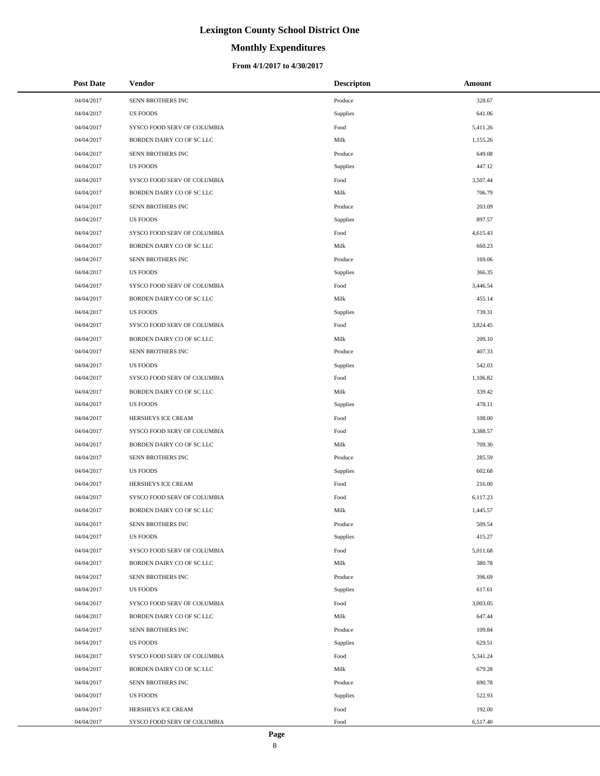# **Monthly Expenditures**

| <b>Post Date</b> | Vendor                      | <b>Descripton</b>      | Amount   |
|------------------|-----------------------------|------------------------|----------|
| 04/04/2017       | SENN BROTHERS INC           | Produce                | 328.67   |
| 04/04/2017       | <b>US FOODS</b>             | Supplies               | 641.06   |
| 04/04/2017       | SYSCO FOOD SERV OF COLUMBIA | Food                   | 5,411.26 |
| 04/04/2017       | BORDEN DAIRY CO OF SC LLC   | Milk                   | 1,155.26 |
| 04/04/2017       | SENN BROTHERS INC           | Produce                | 649.08   |
| 04/04/2017       | <b>US FOODS</b>             | <b>Supplies</b>        | 447.12   |
| 04/04/2017       | SYSCO FOOD SERV OF COLUMBIA | Food                   | 3,507.44 |
| 04/04/2017       | BORDEN DAIRY CO OF SC LLC   | Milk                   | 706.79   |
| 04/04/2017       | SENN BROTHERS INC           | Produce                | 203.09   |
| 04/04/2017       | <b>US FOODS</b>             | Supplies               | 897.57   |
| 04/04/2017       | SYSCO FOOD SERV OF COLUMBIA | Food                   | 4,615.43 |
| 04/04/2017       | BORDEN DAIRY CO OF SC LLC   | Milk                   | 660.23   |
| 04/04/2017       | SENN BROTHERS INC           | Produce                | 169.06   |
| 04/04/2017       | <b>US FOODS</b>             | <b>Supplies</b>        | 366.35   |
| 04/04/2017       | SYSCO FOOD SERV OF COLUMBIA | Food                   | 3,446.54 |
| 04/04/2017       | BORDEN DAIRY CO OF SC LLC   | Milk                   | 455.14   |
| 04/04/2017       | <b>US FOODS</b>             | Supplies               | 739.31   |
| 04/04/2017       | SYSCO FOOD SERV OF COLUMBIA | Food                   | 3,824.45 |
| 04/04/2017       | BORDEN DAIRY CO OF SC LLC   | Milk                   | 209.10   |
| 04/04/2017       | SENN BROTHERS INC           | Produce                | 407.33   |
| 04/04/2017       | <b>US FOODS</b>             | Supplies               | 542.03   |
| 04/04/2017       | SYSCO FOOD SERV OF COLUMBIA | Food                   | 1,106.82 |
| 04/04/2017       | BORDEN DAIRY CO OF SC LLC   | Milk                   | 339.42   |
| 04/04/2017       | <b>US FOODS</b>             | Supplies               | 478.11   |
| 04/04/2017       | HERSHEYS ICE CREAM          | Food                   | 108.00   |
| 04/04/2017       | SYSCO FOOD SERV OF COLUMBIA | Food                   | 3,388.57 |
| 04/04/2017       | BORDEN DAIRY CO OF SC LLC   | Milk                   | 709.30   |
| 04/04/2017       | SENN BROTHERS INC           | Produce                | 285.59   |
| 04/04/2017       | <b>US FOODS</b>             | Supplies               | 602.68   |
| 04/04/2017       | HERSHEYS ICE CREAM          | Food                   | 216.00   |
| 04/04/2017       | SYSCO FOOD SERV OF COLUMBIA | Food                   | 6,117.23 |
| 04/04/2017       | BORDEN DAIRY CO OF SC LLC   | Milk                   | 1,445.57 |
| 04/04/2017       | SENN BROTHERS INC           | Produce                | 509.54   |
| 04/04/2017       | <b>US FOODS</b>             | Supplies               | 415.27   |
| 04/04/2017       | SYSCO FOOD SERV OF COLUMBIA | Food                   | 5,011.68 |
| 04/04/2017       | BORDEN DAIRY CO OF SC LLC   | Milk                   | 380.78   |
| 04/04/2017       | SENN BROTHERS INC           | Produce                | 396.69   |
| 04/04/2017       | <b>US FOODS</b>             | Supplies               | 617.61   |
| 04/04/2017       | SYSCO FOOD SERV OF COLUMBIA | Food                   | 3,003.05 |
| 04/04/2017       | BORDEN DAIRY CO OF SC LLC   | Milk                   | 647.44   |
| 04/04/2017       | SENN BROTHERS INC           | Produce                | 109.84   |
| 04/04/2017       | <b>US FOODS</b>             | Supplies               | 629.51   |
| 04/04/2017       | SYSCO FOOD SERV OF COLUMBIA | Food                   | 5,341.24 |
| 04/04/2017       | BORDEN DAIRY CO OF SC LLC   | Milk                   | 679.28   |
| 04/04/2017       | SENN BROTHERS INC           | Produce                | 690.78   |
| 04/04/2017       | <b>US FOODS</b>             | Supplies               | 522.93   |
| 04/04/2017       | HERSHEYS ICE CREAM          | $\operatorname*{Food}$ | 192.00   |
| 04/04/2017       | SYSCO FOOD SERV OF COLUMBIA | Food                   | 6,517.40 |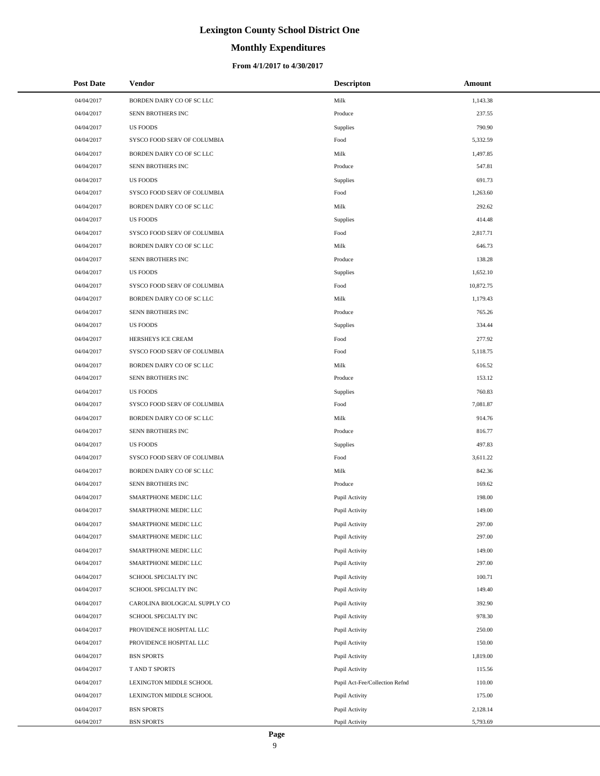## **Monthly Expenditures**

## **From 4/1/2017 to 4/30/2017**

| <b>Post Date</b> | <b>Vendor</b>                 | <b>Descripton</b>              | Amount    |
|------------------|-------------------------------|--------------------------------|-----------|
| 04/04/2017       | BORDEN DAIRY CO OF SC LLC     | Milk                           | 1,143.38  |
| 04/04/2017       | SENN BROTHERS INC             | Produce                        | 237.55    |
| 04/04/2017       | <b>US FOODS</b>               | Supplies                       | 790.90    |
| 04/04/2017       | SYSCO FOOD SERV OF COLUMBIA   | Food                           | 5,332.59  |
| 04/04/2017       | BORDEN DAIRY CO OF SC LLC     | Milk                           | 1,497.85  |
| 04/04/2017       | SENN BROTHERS INC             | Produce                        | 547.81    |
| 04/04/2017       | <b>US FOODS</b>               | Supplies                       | 691.73    |
| 04/04/2017       | SYSCO FOOD SERV OF COLUMBIA   | Food                           | 1,263.60  |
| 04/04/2017       | BORDEN DAIRY CO OF SC LLC     | Milk                           | 292.62    |
| 04/04/2017       | <b>US FOODS</b>               | Supplies                       | 414.48    |
| 04/04/2017       | SYSCO FOOD SERV OF COLUMBIA   | Food                           | 2,817.71  |
| 04/04/2017       | BORDEN DAIRY CO OF SC LLC     | Milk                           | 646.73    |
| 04/04/2017       | SENN BROTHERS INC             | Produce                        | 138.28    |
| 04/04/2017       | <b>US FOODS</b>               | Supplies                       | 1,652.10  |
| 04/04/2017       | SYSCO FOOD SERV OF COLUMBIA   | Food                           | 10,872.75 |
| 04/04/2017       | BORDEN DAIRY CO OF SC LLC     | Milk                           | 1,179.43  |
| 04/04/2017       | SENN BROTHERS INC             | Produce                        | 765.26    |
| 04/04/2017       | <b>US FOODS</b>               | Supplies                       | 334.44    |
| 04/04/2017       | HERSHEYS ICE CREAM            | Food                           | 277.92    |
| 04/04/2017       | SYSCO FOOD SERV OF COLUMBIA   | Food                           | 5,118.75  |
| 04/04/2017       | BORDEN DAIRY CO OF SC LLC     | Milk                           | 616.52    |
| 04/04/2017       | SENN BROTHERS INC             | Produce                        | 153.12    |
| 04/04/2017       | <b>US FOODS</b>               | Supplies                       | 760.83    |
| 04/04/2017       | SYSCO FOOD SERV OF COLUMBIA   | Food                           | 7,081.87  |
| 04/04/2017       | BORDEN DAIRY CO OF SC LLC     | Milk                           | 914.76    |
| 04/04/2017       | SENN BROTHERS INC             | Produce                        | 816.77    |
| 04/04/2017       | <b>US FOODS</b>               | Supplies                       | 497.83    |
| 04/04/2017       | SYSCO FOOD SERV OF COLUMBIA   | Food                           | 3,611.22  |
| 04/04/2017       | BORDEN DAIRY CO OF SC LLC     | Milk                           | 842.36    |
| 04/04/2017       | SENN BROTHERS INC             | Produce                        | 169.62    |
| 04/04/2017       | SMARTPHONE MEDIC LLC          | Pupil Activity                 | 198.00    |
| 04/04/2017       | SMARTPHONE MEDIC LLC          | Pupil Activity                 | 149.00    |
| 04/04/2017       | SMARTPHONE MEDIC LLC          | Pupil Activity                 | 297.00    |
| 04/04/2017       | SMARTPHONE MEDIC LLC          | Pupil Activity                 | 297.00    |
| 04/04/2017       | SMARTPHONE MEDIC LLC          | Pupil Activity                 | 149.00    |
| 04/04/2017       | SMARTPHONE MEDIC LLC          | Pupil Activity                 | 297.00    |
| 04/04/2017       | SCHOOL SPECIALTY INC          | Pupil Activity                 | 100.71    |
| 04/04/2017       | SCHOOL SPECIALTY INC          | Pupil Activity                 | 149.40    |
| 04/04/2017       | CAROLINA BIOLOGICAL SUPPLY CO | Pupil Activity                 | 392.90    |
| 04/04/2017       | SCHOOL SPECIALTY INC          | Pupil Activity                 | 978.30    |
| 04/04/2017       | PROVIDENCE HOSPITAL LLC       | Pupil Activity                 | 250.00    |
| 04/04/2017       | PROVIDENCE HOSPITAL LLC       | Pupil Activity                 | 150.00    |
| 04/04/2017       | <b>BSN SPORTS</b>             | Pupil Activity                 | 1,819.00  |
| 04/04/2017       | T AND T SPORTS                | Pupil Activity                 | 115.56    |
| 04/04/2017       | LEXINGTON MIDDLE SCHOOL       | Pupil Act-Fee/Collection Refnd | 110.00    |
| 04/04/2017       | LEXINGTON MIDDLE SCHOOL       | Pupil Activity                 | 175.00    |
| 04/04/2017       | <b>BSN SPORTS</b>             | Pupil Activity                 | 2,128.14  |
| 04/04/2017       | <b>BSN SPORTS</b>             | Pupil Activity                 | 5,793.69  |

÷.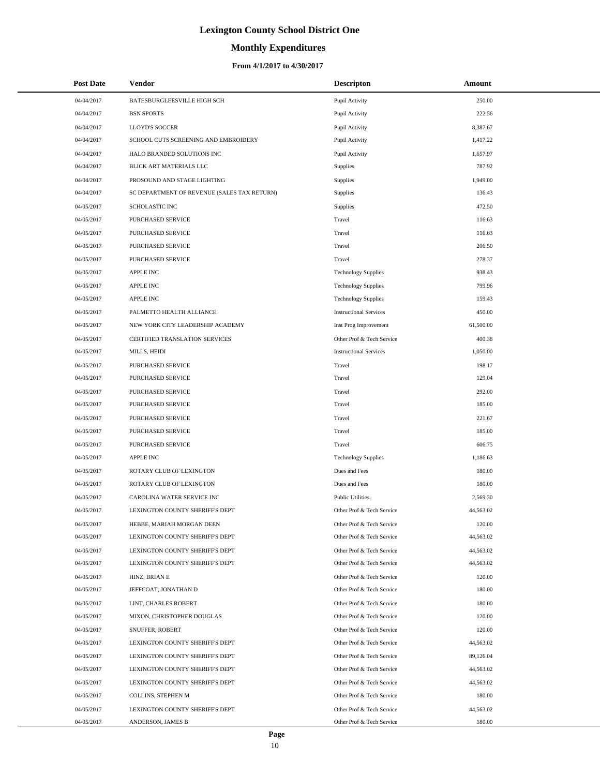# **Monthly Expenditures**

| <b>Post Date</b> | Vendor                                      | <b>Descripton</b>             | Amount    |
|------------------|---------------------------------------------|-------------------------------|-----------|
| 04/04/2017       | BATESBURGLEESVILLE HIGH SCH                 | Pupil Activity                | 250.00    |
| 04/04/2017       | <b>BSN SPORTS</b>                           | Pupil Activity                | 222.56    |
| 04/04/2017       | LLOYD'S SOCCER                              | Pupil Activity                | 8,387.67  |
| 04/04/2017       | SCHOOL CUTS SCREENING AND EMBROIDERY        | Pupil Activity                | 1,417.22  |
| 04/04/2017       | HALO BRANDED SOLUTIONS INC                  | Pupil Activity                | 1,657.97  |
| 04/04/2017       | BLICK ART MATERIALS LLC                     | Supplies                      | 787.92    |
| 04/04/2017       | PROSOUND AND STAGE LIGHTING                 | Supplies                      | 1,949.00  |
| 04/04/2017       | SC DEPARTMENT OF REVENUE (SALES TAX RETURN) | Supplies                      | 136.43    |
| 04/05/2017       | <b>SCHOLASTIC INC</b>                       | Supplies                      | 472.50    |
| 04/05/2017       | PURCHASED SERVICE                           | Travel                        | 116.63    |
| 04/05/2017       | PURCHASED SERVICE                           | Travel                        | 116.63    |
| 04/05/2017       | PURCHASED SERVICE                           | Travel                        | 206.50    |
| 04/05/2017       | PURCHASED SERVICE                           | Travel                        | 278.37    |
| 04/05/2017       | <b>APPLE INC</b>                            | <b>Technology Supplies</b>    | 938.43    |
| 04/05/2017       | <b>APPLE INC</b>                            | <b>Technology Supplies</b>    | 799.96    |
| 04/05/2017       | <b>APPLE INC</b>                            | <b>Technology Supplies</b>    | 159.43    |
| 04/05/2017       | PALMETTO HEALTH ALLIANCE                    | <b>Instructional Services</b> | 450.00    |
| 04/05/2017       | NEW YORK CITY LEADERSHIP ACADEMY            | Inst Prog Improvement         | 61,500.00 |
| 04/05/2017       | CERTIFIED TRANSLATION SERVICES              | Other Prof & Tech Service     | 400.38    |
| 04/05/2017       | MILLS, HEIDI                                | <b>Instructional Services</b> | 1.050.00  |
| 04/05/2017       | PURCHASED SERVICE                           | Travel                        | 198.17    |
| 04/05/2017       | PURCHASED SERVICE                           | Travel                        | 129.04    |
| 04/05/2017       | PURCHASED SERVICE                           | Travel                        | 292.00    |
| 04/05/2017       | PURCHASED SERVICE                           | Travel                        | 185.00    |
| 04/05/2017       | PURCHASED SERVICE                           | Travel                        | 221.67    |
| 04/05/2017       | PURCHASED SERVICE                           | Travel                        | 185.00    |
| 04/05/2017       | PURCHASED SERVICE                           | Travel                        | 606.75    |
| 04/05/2017       | <b>APPLE INC</b>                            | <b>Technology Supplies</b>    | 1,186.63  |
| 04/05/2017       | ROTARY CLUB OF LEXINGTON                    | Dues and Fees                 | 180.00    |
| 04/05/2017       | ROTARY CLUB OF LEXINGTON                    | Dues and Fees                 | 180.00    |
| 04/05/2017       | CAROLINA WATER SERVICE INC                  | <b>Public Utilities</b>       | 2,569.30  |
| 04/05/2017       | LEXINGTON COUNTY SHERIFF'S DEPT             | Other Prof & Tech Service     | 44,563.02 |
| 04/05/2017       | HEBBE, MARIAH MORGAN DEEN                   | Other Prof & Tech Service     | 120.00    |
| 04/05/2017       | LEXINGTON COUNTY SHERIFF'S DEPT             | Other Prof & Tech Service     | 44,563.02 |
| 04/05/2017       | LEXINGTON COUNTY SHERIFF'S DEPT             | Other Prof & Tech Service     | 44,563.02 |
| 04/05/2017       | LEXINGTON COUNTY SHERIFF'S DEPT             | Other Prof & Tech Service     | 44,563.02 |
| 04/05/2017       | HINZ, BRIAN E                               | Other Prof & Tech Service     | 120.00    |
| 04/05/2017       | JEFFCOAT, JONATHAN D                        | Other Prof & Tech Service     | 180.00    |
| 04/05/2017       | LINT, CHARLES ROBERT                        | Other Prof & Tech Service     | 180.00    |
| 04/05/2017       | MIXON, CHRISTOPHER DOUGLAS                  | Other Prof & Tech Service     | 120.00    |
| 04/05/2017       | SNUFFER, ROBERT                             | Other Prof & Tech Service     | 120.00    |
| 04/05/2017       | LEXINGTON COUNTY SHERIFF'S DEPT             | Other Prof & Tech Service     | 44,563.02 |
| 04/05/2017       | LEXINGTON COUNTY SHERIFF'S DEPT             | Other Prof & Tech Service     | 89,126.04 |
| 04/05/2017       | LEXINGTON COUNTY SHERIFF'S DEPT             | Other Prof & Tech Service     | 44,563.02 |
| 04/05/2017       | LEXINGTON COUNTY SHERIFF'S DEPT             | Other Prof & Tech Service     | 44,563.02 |
| 04/05/2017       | COLLINS, STEPHEN M                          | Other Prof & Tech Service     | 180.00    |
| 04/05/2017       | LEXINGTON COUNTY SHERIFF'S DEPT             | Other Prof & Tech Service     | 44,563.02 |
| 04/05/2017       | ANDERSON, JAMES B                           | Other Prof & Tech Service     | 180.00    |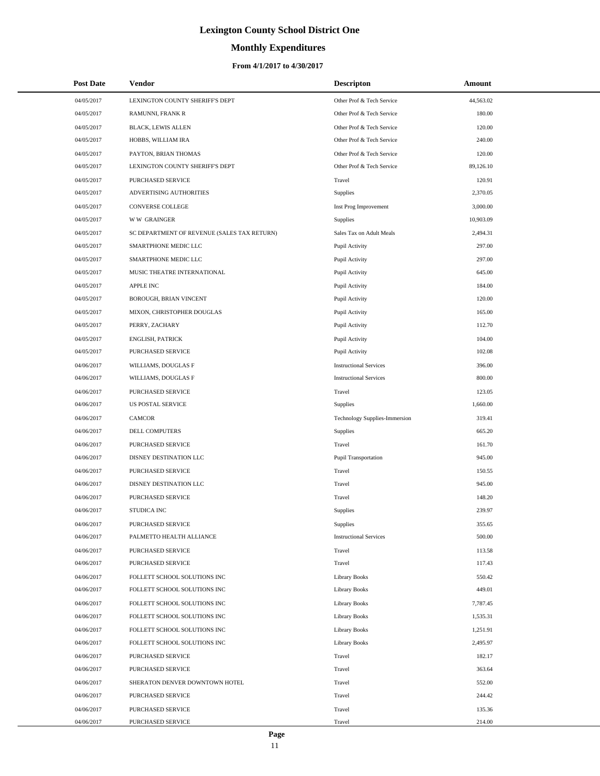# **Monthly Expenditures**

| <b>Post Date</b> | <b>Vendor</b>                               | <b>Descripton</b>             | Amount    |
|------------------|---------------------------------------------|-------------------------------|-----------|
| 04/05/2017       | LEXINGTON COUNTY SHERIFF'S DEPT             | Other Prof & Tech Service     | 44,563.02 |
| 04/05/2017       | RAMUNNI, FRANK R                            | Other Prof & Tech Service     | 180.00    |
| 04/05/2017       | BLACK, LEWIS ALLEN                          | Other Prof & Tech Service     | 120.00    |
| 04/05/2017       | HOBBS, WILLIAM IRA                          | Other Prof & Tech Service     | 240.00    |
| 04/05/2017       | PAYTON, BRIAN THOMAS                        | Other Prof & Tech Service     | 120.00    |
| 04/05/2017       | LEXINGTON COUNTY SHERIFF'S DEPT             | Other Prof & Tech Service     | 89,126.10 |
| 04/05/2017       | PURCHASED SERVICE                           | Travel                        | 120.91    |
| 04/05/2017       | ADVERTISING AUTHORITIES                     | Supplies                      | 2,370.05  |
| 04/05/2017       | <b>CONVERSE COLLEGE</b>                     | Inst Prog Improvement         | 3,000.00  |
| 04/05/2017       | <b>WW GRAINGER</b>                          | Supplies                      | 10,903.09 |
| 04/05/2017       | SC DEPARTMENT OF REVENUE (SALES TAX RETURN) | Sales Tax on Adult Meals      | 2,494.31  |
| 04/05/2017       | SMARTPHONE MEDIC LLC                        | Pupil Activity                | 297.00    |
| 04/05/2017       | SMARTPHONE MEDIC LLC                        | Pupil Activity                | 297.00    |
| 04/05/2017       | MUSIC THEATRE INTERNATIONAL                 | Pupil Activity                | 645.00    |
| 04/05/2017       | <b>APPLE INC</b>                            | Pupil Activity                | 184.00    |
| 04/05/2017       | BOROUGH, BRIAN VINCENT                      | Pupil Activity                | 120.00    |
| 04/05/2017       | MIXON, CHRISTOPHER DOUGLAS                  | Pupil Activity                | 165.00    |
| 04/05/2017       | PERRY, ZACHARY                              | Pupil Activity                | 112.70    |
| 04/05/2017       | ENGLISH, PATRICK                            | Pupil Activity                | 104.00    |
| 04/05/2017       | PURCHASED SERVICE                           | Pupil Activity                | 102.08    |
| 04/06/2017       | WILLIAMS, DOUGLAS F                         | <b>Instructional Services</b> | 396.00    |
| 04/06/2017       | WILLIAMS, DOUGLAS F                         | <b>Instructional Services</b> | 800.00    |
| 04/06/2017       | PURCHASED SERVICE                           | Travel                        | 123.05    |
| 04/06/2017       | <b>US POSTAL SERVICE</b>                    | Supplies                      | 1,660.00  |
| 04/06/2017       | <b>CAMCOR</b>                               | Technology Supplies-Immersion | 319.41    |
| 04/06/2017       | DELL COMPUTERS                              | Supplies                      | 665.20    |
| 04/06/2017       | PURCHASED SERVICE                           | Travel                        | 161.70    |
| 04/06/2017       | DISNEY DESTINATION LLC                      | Pupil Transportation          | 945.00    |
| 04/06/2017       | PURCHASED SERVICE                           | Travel                        | 150.55    |
| 04/06/2017       | DISNEY DESTINATION LLC                      | Travel                        | 945.00    |
| 04/06/2017       | PURCHASED SERVICE                           | Travel                        | 148.20    |
| 04/06/2017       | <b>STUDICA INC</b>                          | Supplies                      | 239.97    |
| 04/06/2017       | PURCHASED SERVICE                           | Supplies                      | 355.65    |
| 04/06/2017       | PALMETTO HEALTH ALLIANCE                    | <b>Instructional Services</b> | 500.00    |
| 04/06/2017       | PURCHASED SERVICE                           | Travel                        | 113.58    |
| 04/06/2017       | <b>PURCHASED SERVICE</b>                    | Travel                        | 117.43    |
| 04/06/2017       | FOLLETT SCHOOL SOLUTIONS INC                | <b>Library Books</b>          | 550.42    |
| 04/06/2017       | FOLLETT SCHOOL SOLUTIONS INC                | Library Books                 | 449.01    |
| 04/06/2017       | FOLLETT SCHOOL SOLUTIONS INC                | <b>Library Books</b>          | 7,787.45  |
| 04/06/2017       | FOLLETT SCHOOL SOLUTIONS INC                | <b>Library Books</b>          | 1,535.31  |
| 04/06/2017       | FOLLETT SCHOOL SOLUTIONS INC                | <b>Library Books</b>          | 1,251.91  |
| 04/06/2017       | FOLLETT SCHOOL SOLUTIONS INC                | Library Books                 | 2,495.97  |
| 04/06/2017       | PURCHASED SERVICE                           | Travel                        | 182.17    |
| 04/06/2017       | PURCHASED SERVICE                           | Travel                        | 363.64    |
| 04/06/2017       | SHERATON DENVER DOWNTOWN HOTEL              | Travel                        | 552.00    |
| 04/06/2017       | PURCHASED SERVICE                           | Travel                        | 244.42    |
| 04/06/2017       | PURCHASED SERVICE                           | Travel                        | 135.36    |
| 04/06/2017       | PURCHASED SERVICE                           | Travel                        | 214.00    |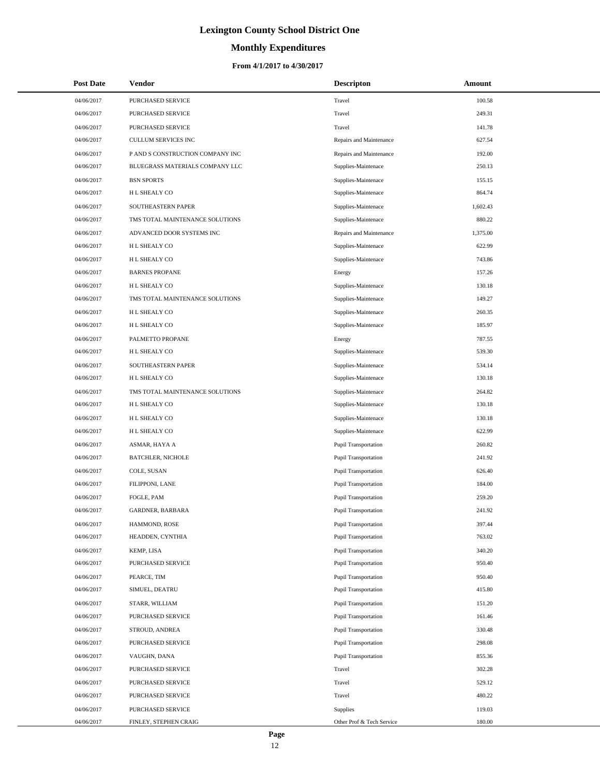# **Monthly Expenditures**

## **From 4/1/2017 to 4/30/2017**

| <b>Post Date</b> | Vendor                           | <b>Descripton</b>           | Amount   |
|------------------|----------------------------------|-----------------------------|----------|
| 04/06/2017       | PURCHASED SERVICE                | Travel                      | 100.58   |
| 04/06/2017       | PURCHASED SERVICE                | Travel                      | 249.31   |
| 04/06/2017       | PURCHASED SERVICE                | Travel                      | 141.78   |
| 04/06/2017       | CULLUM SERVICES INC              | Repairs and Maintenance     | 627.54   |
| 04/06/2017       | P AND S CONSTRUCTION COMPANY INC | Repairs and Maintenance     | 192.00   |
| 04/06/2017       | BLUEGRASS MATERIALS COMPANY LLC  | Supplies-Maintenace         | 250.13   |
| 04/06/2017       | <b>BSN SPORTS</b>                | Supplies-Maintenace         | 155.15   |
| 04/06/2017       | H L SHEALY CO                    | Supplies-Maintenace         | 864.74   |
| 04/06/2017       | SOUTHEASTERN PAPER               | Supplies-Maintenace         | 1,602.43 |
| 04/06/2017       | TMS TOTAL MAINTENANCE SOLUTIONS  | Supplies-Maintenace         | 880.22   |
| 04/06/2017       | ADVANCED DOOR SYSTEMS INC        | Repairs and Maintenance     | 1,375.00 |
| 04/06/2017       | H L SHEALY CO                    | Supplies-Maintenace         | 622.99   |
| 04/06/2017       | H L SHEALY CO                    | Supplies-Maintenace         | 743.86   |
| 04/06/2017       | <b>BARNES PROPANE</b>            | Energy                      | 157.26   |
| 04/06/2017       | H L SHEALY CO                    | Supplies-Maintenace         | 130.18   |
| 04/06/2017       | TMS TOTAL MAINTENANCE SOLUTIONS  | Supplies-Maintenace         | 149.27   |
| 04/06/2017       | H L SHEALY CO                    | Supplies-Maintenace         | 260.35   |
| 04/06/2017       | H L SHEALY CO                    | Supplies-Maintenace         | 185.97   |
| 04/06/2017       | PALMETTO PROPANE                 | Energy                      | 787.55   |
| 04/06/2017       | H L SHEALY CO                    | Supplies-Maintenace         | 539.30   |
| 04/06/2017       | SOUTHEASTERN PAPER               | Supplies-Maintenace         | 534.14   |
| 04/06/2017       | H L SHEALY CO                    | Supplies-Maintenace         | 130.18   |
| 04/06/2017       | TMS TOTAL MAINTENANCE SOLUTIONS  | Supplies-Maintenace         | 264.82   |
| 04/06/2017       | H L SHEALY CO                    | Supplies-Maintenace         | 130.18   |
| 04/06/2017       | H L SHEALY CO                    | Supplies-Maintenace         | 130.18   |
| 04/06/2017       | H L SHEALY CO                    | Supplies-Maintenace         | 622.99   |
| 04/06/2017       | ASMAR, HAYA A                    | Pupil Transportation        | 260.82   |
| 04/06/2017       | <b>BATCHLER, NICHOLE</b>         | <b>Pupil Transportation</b> | 241.92   |
| 04/06/2017       | COLE, SUSAN                      | <b>Pupil Transportation</b> | 626.40   |
| 04/06/2017       | FILIPPONI, LANE                  | <b>Pupil Transportation</b> | 184.00   |
| 04/06/2017       | FOGLE, PAM                       | Pupil Transportation        | 259.20   |
| 04/06/2017       | GARDNER, BARBARA                 | <b>Pupil Transportation</b> | 241.92   |
| 04/06/2017       | HAMMOND, ROSE                    | <b>Pupil Transportation</b> | 397.44   |
| 04/06/2017       | HEADDEN, CYNTHIA                 | <b>Pupil Transportation</b> | 763.02   |
| 04/06/2017       | KEMP, LISA                       | <b>Pupil Transportation</b> | 340.20   |
| 04/06/2017       | PURCHASED SERVICE                | <b>Pupil Transportation</b> | 950.40   |
| 04/06/2017       | PEARCE, TIM                      | <b>Pupil Transportation</b> | 950.40   |
| 04/06/2017       | SIMUEL, DEATRU                   | <b>Pupil Transportation</b> | 415.80   |
| 04/06/2017       | STARR, WILLIAM                   | <b>Pupil Transportation</b> | 151.20   |
| 04/06/2017       | PURCHASED SERVICE                | <b>Pupil Transportation</b> | 161.46   |
| 04/06/2017       | STROUD, ANDREA                   | Pupil Transportation        | 330.48   |
| 04/06/2017       | PURCHASED SERVICE                | Pupil Transportation        | 298.08   |
| 04/06/2017       | VAUGHN, DANA                     | <b>Pupil Transportation</b> | 855.36   |
| 04/06/2017       | PURCHASED SERVICE                | Travel                      | 302.28   |
| 04/06/2017       | PURCHASED SERVICE                | Travel                      | 529.12   |
| 04/06/2017       | PURCHASED SERVICE                | Travel                      | 480.22   |
| 04/06/2017       | PURCHASED SERVICE                | <b>Supplies</b>             | 119.03   |
| 04/06/2017       | FINLEY, STEPHEN CRAIG            | Other Prof & Tech Service   | 180.00   |

÷.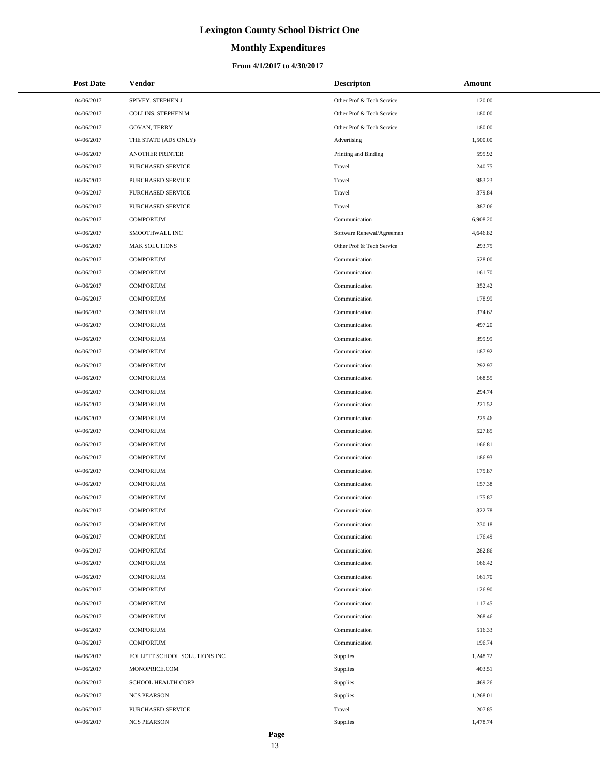# **Monthly Expenditures**

## **From 4/1/2017 to 4/30/2017**

| <b>Post Date</b> | <b>Vendor</b>                | <b>Descripton</b>         | Amount   |
|------------------|------------------------------|---------------------------|----------|
| 04/06/2017       | SPIVEY, STEPHEN J            | Other Prof & Tech Service | 120.00   |
| 04/06/2017       | COLLINS, STEPHEN M           | Other Prof & Tech Service | 180.00   |
| 04/06/2017       | <b>GOVAN, TERRY</b>          | Other Prof & Tech Service | 180.00   |
| 04/06/2017       | THE STATE (ADS ONLY)         | Advertising               | 1,500.00 |
| 04/06/2017       | <b>ANOTHER PRINTER</b>       | Printing and Binding      | 595.92   |
| 04/06/2017       | PURCHASED SERVICE            | Travel                    | 240.75   |
| 04/06/2017       | PURCHASED SERVICE            | Travel                    | 983.23   |
| 04/06/2017       | PURCHASED SERVICE            | Travel                    | 379.84   |
| 04/06/2017       | PURCHASED SERVICE            | Travel                    | 387.06   |
| 04/06/2017       | <b>COMPORIUM</b>             | Communication             | 6,908.20 |
| 04/06/2017       | SMOOTHWALL INC               | Software Renewal/Agreemen | 4,646.82 |
| 04/06/2017       | <b>MAK SOLUTIONS</b>         | Other Prof & Tech Service | 293.75   |
| 04/06/2017       | <b>COMPORIUM</b>             | Communication             | 528.00   |
| 04/06/2017       | <b>COMPORIUM</b>             | Communication             | 161.70   |
| 04/06/2017       | <b>COMPORIUM</b>             | Communication             | 352.42   |
| 04/06/2017       | <b>COMPORIUM</b>             | Communication             | 178.99   |
| 04/06/2017       | <b>COMPORIUM</b>             | Communication             | 374.62   |
| 04/06/2017       | <b>COMPORIUM</b>             | Communication             | 497.20   |
| 04/06/2017       | <b>COMPORIUM</b>             | Communication             | 399.99   |
| 04/06/2017       | COMPORIUM                    | Communication             | 187.92   |
| 04/06/2017       | <b>COMPORIUM</b>             | Communication             | 292.97   |
| 04/06/2017       | <b>COMPORIUM</b>             | Communication             | 168.55   |
| 04/06/2017       | <b>COMPORIUM</b>             | Communication             | 294.74   |
| 04/06/2017       | <b>COMPORIUM</b>             | Communication             | 221.52   |
| 04/06/2017       | <b>COMPORIUM</b>             | Communication             | 225.46   |
| 04/06/2017       | COMPORIUM                    | Communication             | 527.85   |
| 04/06/2017       | <b>COMPORIUM</b>             | Communication             | 166.81   |
| 04/06/2017       | <b>COMPORIUM</b>             | Communication             | 186.93   |
| 04/06/2017       | <b>COMPORIUM</b>             | Communication             | 175.87   |
| 04/06/2017       | <b>COMPORIUM</b>             | Communication             | 157.38   |
| 04/06/2017       | <b>COMPORIUM</b>             | Communication             | 175.87   |
| 04/06/2017       | <b>COMPORIUM</b>             | Communication             | 322.78   |
| 04/06/2017       | <b>COMPORIUM</b>             | Communication             | 230.18   |
| 04/06/2017       | <b>COMPORIUM</b>             | Communication             | 176.49   |
| 04/06/2017       | <b>COMPORIUM</b>             | Communication             | 282.86   |
| 04/06/2017       | <b>COMPORIUM</b>             | Communication             | 166.42   |
| 04/06/2017       | <b>COMPORIUM</b>             | Communication             | 161.70   |
| 04/06/2017       | <b>COMPORIUM</b>             | Communication             | 126.90   |
| 04/06/2017       | <b>COMPORIUM</b>             | Communication             | 117.45   |
| 04/06/2017       | <b>COMPORIUM</b>             | Communication             | 268.46   |
| 04/06/2017       | <b>COMPORIUM</b>             | Communication             | 516.33   |
| 04/06/2017       | <b>COMPORIUM</b>             | Communication             | 196.74   |
| 04/06/2017       | FOLLETT SCHOOL SOLUTIONS INC | Supplies                  | 1,248.72 |
| 04/06/2017       | MONOPRICE.COM                | Supplies                  | 403.51   |
| 04/06/2017       | SCHOOL HEALTH CORP           | Supplies                  | 469.26   |
| 04/06/2017       | <b>NCS PEARSON</b>           | Supplies                  | 1,268.01 |
| 04/06/2017       | PURCHASED SERVICE            | Travel                    | 207.85   |
| 04/06/2017       | <b>NCS PEARSON</b>           | Supplies                  | 1,478.74 |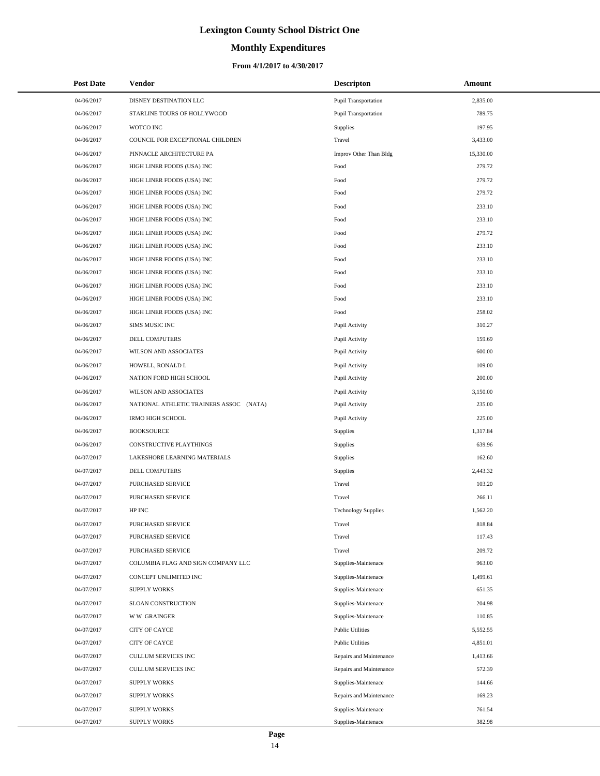# **Monthly Expenditures**

## **From 4/1/2017 to 4/30/2017**

| <b>Post Date</b> | Vendor                                  | <b>Descripton</b>          | Amount    |
|------------------|-----------------------------------------|----------------------------|-----------|
| 04/06/2017       | DISNEY DESTINATION LLC                  | Pupil Transportation       | 2,835.00  |
| 04/06/2017       | STARLINE TOURS OF HOLLYWOOD             | Pupil Transportation       | 789.75    |
| 04/06/2017       | WOTCO INC                               | <b>Supplies</b>            | 197.95    |
| 04/06/2017       | COUNCIL FOR EXCEPTIONAL CHILDREN        | Travel                     | 3,433.00  |
| 04/06/2017       | PINNACLE ARCHITECTURE PA                | Improv Other Than Bldg     | 15,330.00 |
| 04/06/2017       | HIGH LINER FOODS (USA) INC              | Food                       | 279.72    |
| 04/06/2017       | HIGH LINER FOODS (USA) INC              | Food                       | 279.72    |
| 04/06/2017       | HIGH LINER FOODS (USA) INC              | Food                       | 279.72    |
| 04/06/2017       | HIGH LINER FOODS (USA) INC              | Food                       | 233.10    |
| 04/06/2017       | HIGH LINER FOODS (USA) INC              | Food                       | 233.10    |
| 04/06/2017       | HIGH LINER FOODS (USA) INC              | Food                       | 279.72    |
| 04/06/2017       | HIGH LINER FOODS (USA) INC              | Food                       | 233.10    |
| 04/06/2017       | HIGH LINER FOODS (USA) INC              | Food                       | 233.10    |
| 04/06/2017       | HIGH LINER FOODS (USA) INC              | Food                       | 233.10    |
| 04/06/2017       | HIGH LINER FOODS (USA) INC              | Food                       | 233.10    |
| 04/06/2017       | HIGH LINER FOODS (USA) INC              | Food                       | 233.10    |
| 04/06/2017       | HIGH LINER FOODS (USA) INC              | Food                       | 258.02    |
| 04/06/2017       | SIMS MUSIC INC                          | Pupil Activity             | 310.27    |
| 04/06/2017       | DELL COMPUTERS                          | Pupil Activity             | 159.69    |
| 04/06/2017       | WILSON AND ASSOCIATES                   | Pupil Activity             | 600.00    |
| 04/06/2017       | HOWELL, RONALD L                        | Pupil Activity             | 109.00    |
| 04/06/2017       | NATION FORD HIGH SCHOOL                 | Pupil Activity             | 200.00    |
| 04/06/2017       | WILSON AND ASSOCIATES                   | Pupil Activity             | 3,150.00  |
| 04/06/2017       | NATIONAL ATHLETIC TRAINERS ASSOC (NATA) | Pupil Activity             | 235.00    |
| 04/06/2017       | <b>IRMO HIGH SCHOOL</b>                 | Pupil Activity             | 225.00    |
| 04/06/2017       | <b>BOOKSOURCE</b>                       | Supplies                   | 1,317.84  |
| 04/06/2017       | CONSTRUCTIVE PLAYTHINGS                 | <b>Supplies</b>            | 639.96    |
| 04/07/2017       | LAKESHORE LEARNING MATERIALS            | Supplies                   | 162.60    |
| 04/07/2017       | DELL COMPUTERS                          | <b>Supplies</b>            | 2,443.32  |
| 04/07/2017       | PURCHASED SERVICE                       | Travel                     | 103.20    |
| 04/07/2017       | PURCHASED SERVICE                       | Travel                     | 266.11    |
| 04/07/2017       | HP INC                                  | <b>Technology Supplies</b> | 1,562.20  |
| 04/07/2017       | PURCHASED SERVICE                       | Travel                     | 818.84    |
| 04/07/2017       | PURCHASED SERVICE                       | Travel                     | 117.43    |
| 04/07/2017       | PURCHASED SERVICE                       | Travel                     | 209.72    |
| 04/07/2017       | COLUMBIA FLAG AND SIGN COMPANY LLC      | Supplies-Maintenace        | 963.00    |
| 04/07/2017       | CONCEPT UNLIMITED INC                   | Supplies-Maintenace        | 1,499.61  |
| 04/07/2017       | <b>SUPPLY WORKS</b>                     | Supplies-Maintenace        | 651.35    |
| 04/07/2017       | SLOAN CONSTRUCTION                      | Supplies-Maintenace        | 204.98    |
| 04/07/2017       | <b>WW GRAINGER</b>                      | Supplies-Maintenace        | 110.85    |
| 04/07/2017       | CITY OF CAYCE                           | <b>Public Utilities</b>    | 5,552.55  |
| 04/07/2017       | <b>CITY OF CAYCE</b>                    | <b>Public Utilities</b>    | 4,851.01  |
| 04/07/2017       | CULLUM SERVICES INC                     | Repairs and Maintenance    | 1,413.66  |
| 04/07/2017       | CULLUM SERVICES INC                     | Repairs and Maintenance    | 572.39    |
| 04/07/2017       | <b>SUPPLY WORKS</b>                     | Supplies-Maintenace        | 144.66    |
| 04/07/2017       | <b>SUPPLY WORKS</b>                     | Repairs and Maintenance    | 169.23    |
| 04/07/2017       | <b>SUPPLY WORKS</b>                     | Supplies-Maintenace        | 761.54    |
| 04/07/2017       | <b>SUPPLY WORKS</b>                     | Supplies-Maintenace        | 382.98    |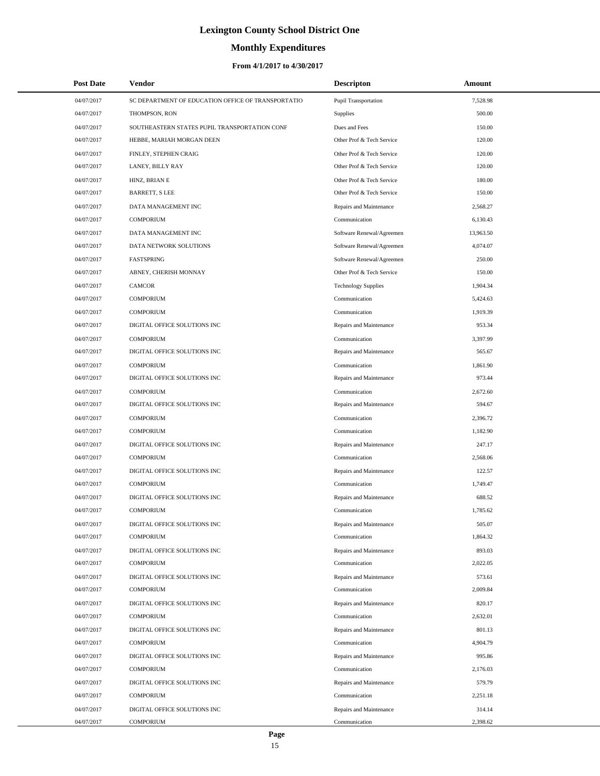# **Monthly Expenditures**

## **From 4/1/2017 to 4/30/2017**

| <b>Post Date</b> | Vendor                                             | <b>Descripton</b>           | Amount    |
|------------------|----------------------------------------------------|-----------------------------|-----------|
| 04/07/2017       | SC DEPARTMENT OF EDUCATION OFFICE OF TRANSPORTATIO | <b>Pupil Transportation</b> | 7,528.98  |
| 04/07/2017       | THOMPSON, RON                                      | Supplies                    | 500.00    |
| 04/07/2017       | SOUTHEASTERN STATES PUPIL TRANSPORTATION CONF      | Dues and Fees               | 150.00    |
| 04/07/2017       | HEBBE, MARIAH MORGAN DEEN                          | Other Prof & Tech Service   | 120.00    |
| 04/07/2017       | FINLEY, STEPHEN CRAIG                              | Other Prof & Tech Service   | 120.00    |
| 04/07/2017       | LANEY, BILLY RAY                                   | Other Prof & Tech Service   | 120.00    |
| 04/07/2017       | HINZ, BRIAN E                                      | Other Prof & Tech Service   | 180.00    |
| 04/07/2017       | <b>BARRETT, S LEE</b>                              | Other Prof & Tech Service   | 150.00    |
| 04/07/2017       | DATA MANAGEMENT INC                                | Repairs and Maintenance     | 2,568.27  |
| 04/07/2017       | <b>COMPORIUM</b>                                   | Communication               | 6,130.43  |
| 04/07/2017       | DATA MANAGEMENT INC                                | Software Renewal/Agreemen   | 13,963.50 |
| 04/07/2017       | DATA NETWORK SOLUTIONS                             | Software Renewal/Agreemen   | 4,074.07  |
| 04/07/2017       | FASTSPRING                                         | Software Renewal/Agreemen   | 250.00    |
| 04/07/2017       | ABNEY, CHERISH MONNAY                              | Other Prof & Tech Service   | 150.00    |
| 04/07/2017       | <b>CAMCOR</b>                                      | <b>Technology Supplies</b>  | 1,904.34  |
| 04/07/2017       | <b>COMPORIUM</b>                                   | Communication               | 5,424.63  |
| 04/07/2017       | <b>COMPORIUM</b>                                   | Communication               | 1,919.39  |
| 04/07/2017       | DIGITAL OFFICE SOLUTIONS INC                       | Repairs and Maintenance     | 953.34    |
| 04/07/2017       | <b>COMPORIUM</b>                                   | Communication               | 3,397.99  |
| 04/07/2017       | DIGITAL OFFICE SOLUTIONS INC                       | Repairs and Maintenance     | 565.67    |
| 04/07/2017       | <b>COMPORIUM</b>                                   | Communication               | 1,861.90  |
| 04/07/2017       | DIGITAL OFFICE SOLUTIONS INC                       | Repairs and Maintenance     | 973.44    |
| 04/07/2017       | <b>COMPORIUM</b>                                   | Communication               | 2,672.60  |
| 04/07/2017       | DIGITAL OFFICE SOLUTIONS INC                       | Repairs and Maintenance     | 594.67    |
| 04/07/2017       | <b>COMPORIUM</b>                                   | Communication               | 2,396.72  |
| 04/07/2017       | <b>COMPORIUM</b>                                   | Communication               | 1,182.90  |
| 04/07/2017       | DIGITAL OFFICE SOLUTIONS INC                       | Repairs and Maintenance     | 247.17    |
| 04/07/2017       | <b>COMPORIUM</b>                                   | Communication               | 2,568.06  |
| 04/07/2017       | DIGITAL OFFICE SOLUTIONS INC                       | Repairs and Maintenance     | 122.57    |
| 04/07/2017       | <b>COMPORIUM</b>                                   | Communication               | 1,749.47  |
| 04/07/2017       | DIGITAL OFFICE SOLUTIONS INC                       | Repairs and Maintenance     | 688.52    |
| 04/07/2017       | <b>COMPORIUM</b>                                   | Communication               | 1,785.62  |
| 04/07/2017       | DIGITAL OFFICE SOLUTIONS INC                       | Repairs and Maintenance     | 505.07    |
| 04/07/2017       | <b>COMPORIUM</b>                                   | Communication               | 1,864.32  |
| 04/07/2017       | DIGITAL OFFICE SOLUTIONS INC                       | Repairs and Maintenance     | 893.03    |
| 04/07/2017       | <b>COMPORIUM</b>                                   | Communication               | 2,022.05  |
| 04/07/2017       | DIGITAL OFFICE SOLUTIONS INC                       | Repairs and Maintenance     | 573.61    |
| 04/07/2017       | <b>COMPORIUM</b>                                   | Communication               | 2,009.84  |
| 04/07/2017       | DIGITAL OFFICE SOLUTIONS INC                       | Repairs and Maintenance     | 820.17    |
| 04/07/2017       | <b>COMPORIUM</b>                                   | Communication               | 2,632.01  |
| 04/07/2017       | DIGITAL OFFICE SOLUTIONS INC                       | Repairs and Maintenance     | 801.13    |
| 04/07/2017       | <b>COMPORIUM</b>                                   | Communication               | 4,904.79  |
| 04/07/2017       | DIGITAL OFFICE SOLUTIONS INC                       | Repairs and Maintenance     | 995.86    |
| 04/07/2017       | <b>COMPORIUM</b>                                   | Communication               | 2,176.03  |
| 04/07/2017       | DIGITAL OFFICE SOLUTIONS INC                       | Repairs and Maintenance     | 579.79    |
| 04/07/2017       | <b>COMPORIUM</b>                                   | Communication               | 2,251.18  |
| 04/07/2017       | DIGITAL OFFICE SOLUTIONS INC                       | Repairs and Maintenance     | 314.14    |
| 04/07/2017       | COMPORIUM                                          | Communication               | 2,398.62  |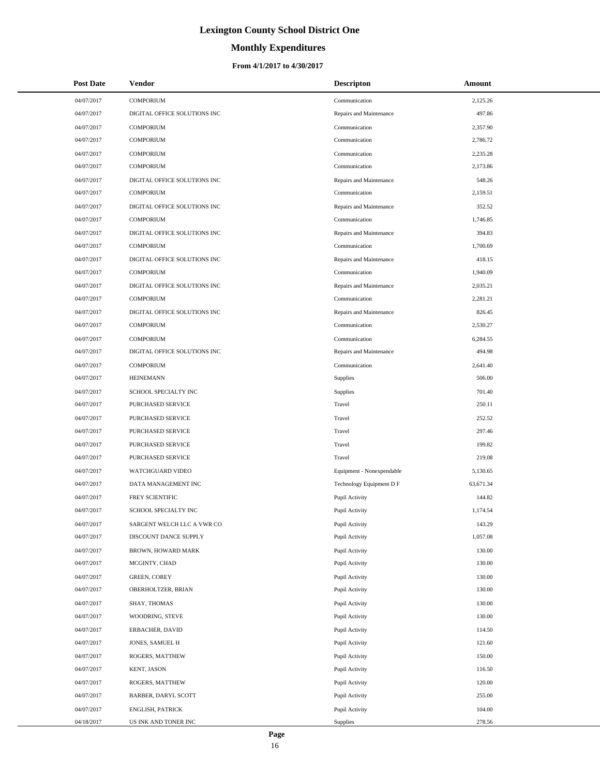# **Monthly Expenditures**

## **From 4/1/2017 to 4/30/2017**

| <b>Post Date</b>         | <b>Vendor</b>                             | <b>Descripton</b>                | Amount           |
|--------------------------|-------------------------------------------|----------------------------------|------------------|
| 04/07/2017               | <b>COMPORIUM</b>                          | Communication                    | 2,125.26         |
| 04/07/2017               | DIGITAL OFFICE SOLUTIONS INC              | Repairs and Maintenance          | 497.86           |
| 04/07/2017               | <b>COMPORIUM</b>                          | Communication                    | 2,357.90         |
| 04/07/2017               | <b>COMPORIUM</b>                          | Communication                    | 2,786.72         |
| 04/07/2017               | <b>COMPORIUM</b>                          | Communication                    | 2,235.28         |
| 04/07/2017               | <b>COMPORIUM</b>                          | Communication                    | 2,173.86         |
| 04/07/2017               | DIGITAL OFFICE SOLUTIONS INC              | Repairs and Maintenance          | 548.26           |
| 04/07/2017               | <b>COMPORIUM</b>                          | Communication                    | 2,159.51         |
| 04/07/2017               | DIGITAL OFFICE SOLUTIONS INC              | Repairs and Maintenance          | 352.52           |
| 04/07/2017               | <b>COMPORIUM</b>                          | Communication                    | 1,746.85         |
| 04/07/2017               | DIGITAL OFFICE SOLUTIONS INC              | Repairs and Maintenance          | 394.83           |
| 04/07/2017               | <b>COMPORIUM</b>                          | Communication                    | 1,700.69         |
| 04/07/2017               | DIGITAL OFFICE SOLUTIONS INC              | Repairs and Maintenance          | 418.15           |
| 04/07/2017               | <b>COMPORIUM</b>                          | Communication                    | 1,940.09         |
| 04/07/2017               | DIGITAL OFFICE SOLUTIONS INC              | Repairs and Maintenance          | 2,035.21         |
| 04/07/2017               | <b>COMPORIUM</b>                          | Communication                    | 2,281.21         |
| 04/07/2017               | DIGITAL OFFICE SOLUTIONS INC              | Repairs and Maintenance          | 826.45           |
| 04/07/2017               | <b>COMPORIUM</b>                          | Communication                    | 2,530.27         |
| 04/07/2017               | <b>COMPORIUM</b>                          | Communication                    | 6,284.55         |
| 04/07/2017               | DIGITAL OFFICE SOLUTIONS INC              | Repairs and Maintenance          | 494.98           |
| 04/07/2017               | <b>COMPORIUM</b>                          | Communication                    | 2,641.40         |
| 04/07/2017               | <b>HEINEMANN</b>                          | Supplies                         | 506.00           |
| 04/07/2017               | SCHOOL SPECIALTY INC                      | Supplies                         | 701.40           |
| 04/07/2017               | PURCHASED SERVICE                         | Travel                           | 250.11           |
| 04/07/2017               | PURCHASED SERVICE                         | Travel                           | 252.52           |
| 04/07/2017               | PURCHASED SERVICE                         | Travel                           | 297.46           |
| 04/07/2017               | PURCHASED SERVICE                         | Travel                           | 199.82           |
| 04/07/2017               | PURCHASED SERVICE                         | Travel                           | 219.08           |
| 04/07/2017               | WATCHGUARD VIDEO                          | Equipment - Nonexpendable        | 5,130.65         |
| 04/07/2017               | DATA MANAGEMENT INC                       | Technology Equipment D F         | 63,671.34        |
| 04/07/2017               | FREY SCIENTIFIC                           | Pupil Activity                   | 144.82           |
| 04/07/2017               | SCHOOL SPECIALTY INC                      | Pupil Activity                   | 1,174.54         |
| 04/07/2017               | SARGENT WELCH LLC A VWR CO                | Pupil Activity                   | 143.29           |
| 04/07/2017               | DISCOUNT DANCE SUPPLY                     | Pupil Activity                   | 1,057.08         |
| 04/07/2017               | BROWN, HOWARD MARK                        | Pupil Activity                   | 130.00           |
| 04/07/2017               | MCGINTY, CHAD                             | Pupil Activity                   | 130.00           |
| 04/07/2017<br>04/07/2017 | <b>GREEN, COREY</b><br>OBERHOLTZER, BRIAN | Pupil Activity<br>Pupil Activity | 130.00<br>130.00 |
| 04/07/2017               |                                           |                                  | 130.00           |
| 04/07/2017               | SHAY, THOMAS<br>WOODRING, STEVE           | Pupil Activity<br>Pupil Activity | 130.00           |
| 04/07/2017               | ERBACHER, DAVID                           | Pupil Activity                   | 114.50           |
| 04/07/2017               | JONES, SAMUEL H                           | Pupil Activity                   | 121.60           |
| 04/07/2017               | ROGERS, MATTHEW                           | Pupil Activity                   | 150.00           |
| 04/07/2017               | KENT, JASON                               | Pupil Activity                   | 116.50           |
| 04/07/2017               | ROGERS, MATTHEW                           | Pupil Activity                   | 120.00           |
| 04/07/2017               | BARBER, DARYL SCOTT                       | Pupil Activity                   | 255.00           |
| 04/07/2017               | ENGLISH, PATRICK                          | Pupil Activity                   | 104.00           |
| 04/18/2017               | US INK AND TONER INC                      | Supplies                         | 278.56           |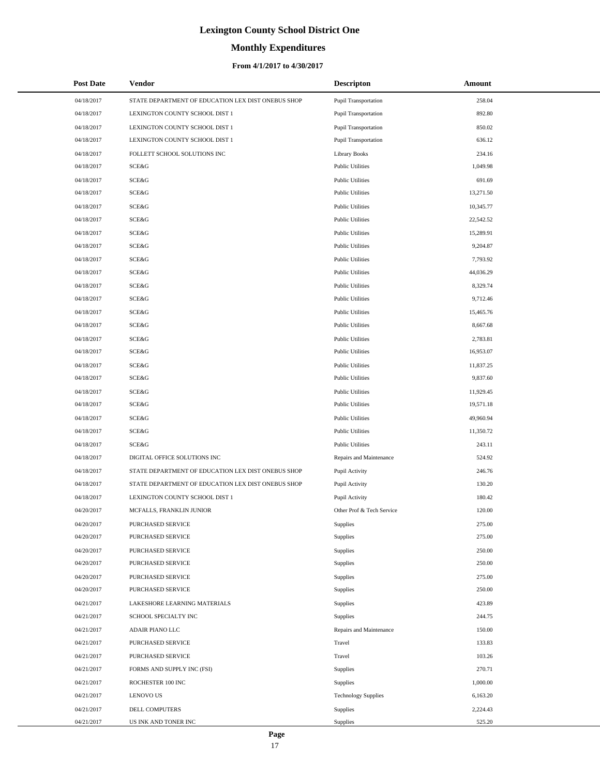# **Monthly Expenditures**

## **From 4/1/2017 to 4/30/2017**

| <b>Post Date</b> | <b>Vendor</b>                                      | <b>Descripton</b>           | Amount    |
|------------------|----------------------------------------------------|-----------------------------|-----------|
| 04/18/2017       | STATE DEPARTMENT OF EDUCATION LEX DIST ONEBUS SHOP | <b>Pupil Transportation</b> | 258.04    |
| 04/18/2017       | LEXINGTON COUNTY SCHOOL DIST 1                     | <b>Pupil Transportation</b> | 892.80    |
| 04/18/2017       | LEXINGTON COUNTY SCHOOL DIST 1                     | Pupil Transportation        | 850.02    |
| 04/18/2017       | LEXINGTON COUNTY SCHOOL DIST 1                     | <b>Pupil Transportation</b> | 636.12    |
| 04/18/2017       | FOLLETT SCHOOL SOLUTIONS INC                       | <b>Library Books</b>        | 234.16    |
| 04/18/2017       | SCE&G                                              | <b>Public Utilities</b>     | 1,049.98  |
| 04/18/2017       | SCE&G                                              | <b>Public Utilities</b>     | 691.69    |
| 04/18/2017       | SCE&G                                              | <b>Public Utilities</b>     | 13,271.50 |
| 04/18/2017       | SCE&G                                              | <b>Public Utilities</b>     | 10,345.77 |
| 04/18/2017       | SCE&G                                              | <b>Public Utilities</b>     | 22,542.52 |
| 04/18/2017       | SCE&G                                              | <b>Public Utilities</b>     | 15,289.91 |
| 04/18/2017       | SCE&G                                              | <b>Public Utilities</b>     | 9,204.87  |
| 04/18/2017       | SCE&G                                              | <b>Public Utilities</b>     | 7,793.92  |
| 04/18/2017       | SCE&G                                              | <b>Public Utilities</b>     | 44,036.29 |
| 04/18/2017       | SCE&G                                              | <b>Public Utilities</b>     | 8,329.74  |
| 04/18/2017       | SCE&G                                              | <b>Public Utilities</b>     | 9,712.46  |
| 04/18/2017       | SCE&G                                              | <b>Public Utilities</b>     | 15,465.76 |
| 04/18/2017       | SCE&G                                              | <b>Public Utilities</b>     | 8,667.68  |
| 04/18/2017       | SCE&G                                              | <b>Public Utilities</b>     | 2,783.81  |
| 04/18/2017       | SCE&G                                              | <b>Public Utilities</b>     | 16,953.07 |
| 04/18/2017       | SCE&G                                              | <b>Public Utilities</b>     | 11,837.25 |
| 04/18/2017       | SCE&G                                              | <b>Public Utilities</b>     | 9,837.60  |
| 04/18/2017       | SCE&G                                              | <b>Public Utilities</b>     | 11,929.45 |
| 04/18/2017       | SCE&G                                              | <b>Public Utilities</b>     | 19,571.18 |
| 04/18/2017       | SCE&G                                              | <b>Public Utilities</b>     | 49,960.94 |
| 04/18/2017       | SCE&G                                              | <b>Public Utilities</b>     | 11,350.72 |
| 04/18/2017       | SCE&G                                              | <b>Public Utilities</b>     | 243.11    |
| 04/18/2017       | DIGITAL OFFICE SOLUTIONS INC                       | Repairs and Maintenance     | 524.92    |
| 04/18/2017       | STATE DEPARTMENT OF EDUCATION LEX DIST ONEBUS SHOP | Pupil Activity              | 246.76    |
| 04/18/2017       | STATE DEPARTMENT OF EDUCATION LEX DIST ONEBUS SHOP | Pupil Activity              | 130.20    |
| 04/18/2017       | LEXINGTON COUNTY SCHOOL DIST 1                     | Pupil Activity              | 180.42    |
| 04/20/2017       | MCFALLS, FRANKLIN JUNIOR                           | Other Prof & Tech Service   | 120.00    |
| 04/20/2017       | PURCHASED SERVICE                                  | Supplies                    | 275.00    |
| 04/20/2017       | PURCHASED SERVICE                                  | Supplies                    | 275.00    |
| 04/20/2017       | PURCHASED SERVICE                                  | Supplies                    | 250.00    |
| 04/20/2017       | PURCHASED SERVICE                                  | Supplies                    | 250.00    |
| 04/20/2017       | PURCHASED SERVICE                                  | Supplies                    | 275.00    |
| 04/20/2017       | PURCHASED SERVICE                                  | Supplies                    | 250.00    |
| 04/21/2017       | LAKESHORE LEARNING MATERIALS                       | Supplies                    | 423.89    |
| 04/21/2017       | SCHOOL SPECIALTY INC                               | Supplies                    | 244.75    |
| 04/21/2017       | ADAIR PIANO LLC                                    | Repairs and Maintenance     | 150.00    |
| 04/21/2017       | PURCHASED SERVICE                                  | Travel                      | 133.83    |
| 04/21/2017       | PURCHASED SERVICE                                  | Travel                      | 103.26    |
| 04/21/2017       | FORMS AND SUPPLY INC (FSI)                         | Supplies                    | 270.71    |
| 04/21/2017       | ROCHESTER 100 INC                                  | Supplies                    | 1,000.00  |
| 04/21/2017       | <b>LENOVO US</b>                                   | <b>Technology Supplies</b>  | 6,163.20  |
| 04/21/2017       | DELL COMPUTERS                                     | Supplies                    | 2,224.43  |
| 04/21/2017       | US INK AND TONER INC                               | Supplies                    | 525.20    |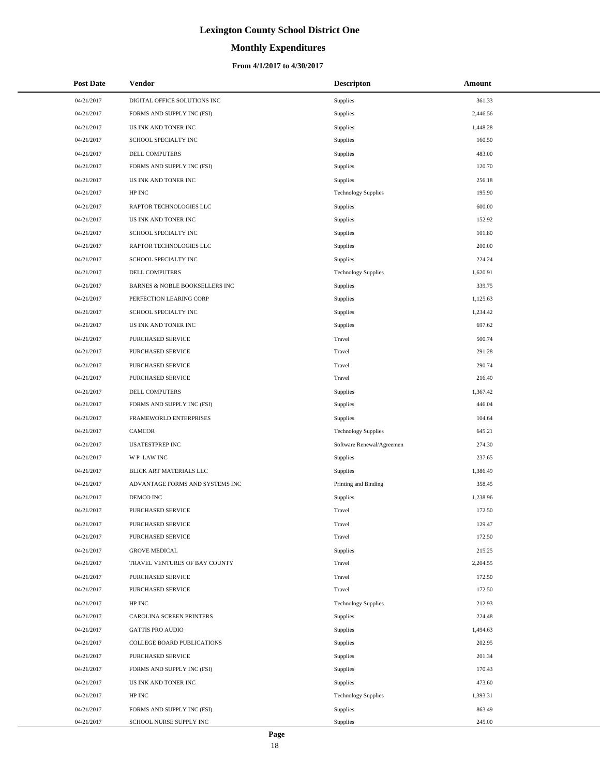# **Monthly Expenditures**

| <b>Post Date</b> | <b>Vendor</b>                   | <b>Descripton</b>          | Amount   |
|------------------|---------------------------------|----------------------------|----------|
| 04/21/2017       | DIGITAL OFFICE SOLUTIONS INC    | Supplies                   | 361.33   |
| 04/21/2017       | FORMS AND SUPPLY INC (FSI)      | Supplies                   | 2,446.56 |
| 04/21/2017       | US INK AND TONER INC            | Supplies                   | 1,448.28 |
| 04/21/2017       | SCHOOL SPECIALTY INC            | Supplies                   | 160.50   |
| 04/21/2017       | DELL COMPUTERS                  | Supplies                   | 483.00   |
| 04/21/2017       | FORMS AND SUPPLY INC (FSI)      | Supplies                   | 120.70   |
| 04/21/2017       | US INK AND TONER INC            | Supplies                   | 256.18   |
| 04/21/2017       | HP INC                          | <b>Technology Supplies</b> | 195.90   |
| 04/21/2017       | RAPTOR TECHNOLOGIES LLC         | Supplies                   | 600.00   |
| 04/21/2017       | US INK AND TONER INC            | Supplies                   | 152.92   |
| 04/21/2017       | SCHOOL SPECIALTY INC            | Supplies                   | 101.80   |
| 04/21/2017       | RAPTOR TECHNOLOGIES LLC         | Supplies                   | 200.00   |
| 04/21/2017       | SCHOOL SPECIALTY INC            | Supplies                   | 224.24   |
| 04/21/2017       | <b>DELL COMPUTERS</b>           | <b>Technology Supplies</b> | 1,620.91 |
| 04/21/2017       | BARNES & NOBLE BOOKSELLERS INC  | <b>Supplies</b>            | 339.75   |
| 04/21/2017       | PERFECTION LEARING CORP         | <b>Supplies</b>            | 1,125.63 |
| 04/21/2017       | SCHOOL SPECIALTY INC            | <b>Supplies</b>            | 1,234.42 |
| 04/21/2017       | US INK AND TONER INC            | Supplies                   | 697.62   |
| 04/21/2017       | PURCHASED SERVICE               | Travel                     | 500.74   |
| 04/21/2017       | PURCHASED SERVICE               | Travel                     | 291.28   |
| 04/21/2017       | PURCHASED SERVICE               | Travel                     | 290.74   |
| 04/21/2017       | PURCHASED SERVICE               | Travel                     | 216.40   |
| 04/21/2017       | DELL COMPUTERS                  | Supplies                   | 1,367.42 |
| 04/21/2017       | FORMS AND SUPPLY INC (FSI)      | <b>Supplies</b>            | 446.04   |
| 04/21/2017       | FRAMEWORLD ENTERPRISES          | <b>Supplies</b>            | 104.64   |
| 04/21/2017       | <b>CAMCOR</b>                   | <b>Technology Supplies</b> | 645.21   |
| 04/21/2017       | <b>USATESTPREP INC</b>          | Software Renewal/Agreemen  | 274.30   |
| 04/21/2017       | WP LAW INC                      | Supplies                   | 237.65   |
| 04/21/2017       | BLICK ART MATERIALS LLC         | <b>Supplies</b>            | 1,386.49 |
| 04/21/2017       | ADVANTAGE FORMS AND SYSTEMS INC | Printing and Binding       | 358.45   |
| 04/21/2017       | DEMCO INC                       | Supplies                   | 1,238.96 |
| 04/21/2017       | PURCHASED SERVICE               | Travel                     | 172.50   |
| 04/21/2017       | PURCHASED SERVICE               | Travel                     | 129.47   |
| 04/21/2017       | PURCHASED SERVICE               | Travel                     | 172.50   |
| 04/21/2017       | <b>GROVE MEDICAL</b>            | <b>Supplies</b>            | 215.25   |
| 04/21/2017       | TRAVEL VENTURES OF BAY COUNTY   | Travel                     | 2,204.55 |
| 04/21/2017       | PURCHASED SERVICE               | Travel                     | 172.50   |
| 04/21/2017       | PURCHASED SERVICE               | Travel                     | 172.50   |
| 04/21/2017       | HP INC                          | <b>Technology Supplies</b> | 212.93   |
| 04/21/2017       | CAROLINA SCREEN PRINTERS        | <b>Supplies</b>            | 224.48   |
| 04/21/2017       | <b>GATTIS PRO AUDIO</b>         | <b>Supplies</b>            | 1,494.63 |
| 04/21/2017       | COLLEGE BOARD PUBLICATIONS      | Supplies                   | 202.95   |
| 04/21/2017       | PURCHASED SERVICE               | <b>Supplies</b>            | 201.34   |
| 04/21/2017       | FORMS AND SUPPLY INC (FSI)      | <b>Supplies</b>            | 170.43   |
| 04/21/2017       | US INK AND TONER INC            | <b>Supplies</b>            | 473.60   |
| 04/21/2017       | HP INC                          | <b>Technology Supplies</b> | 1,393.31 |
| 04/21/2017       | FORMS AND SUPPLY INC (FSI)      | Supplies                   | 863.49   |
| 04/21/2017       | SCHOOL NURSE SUPPLY INC         | Supplies                   | 245.00   |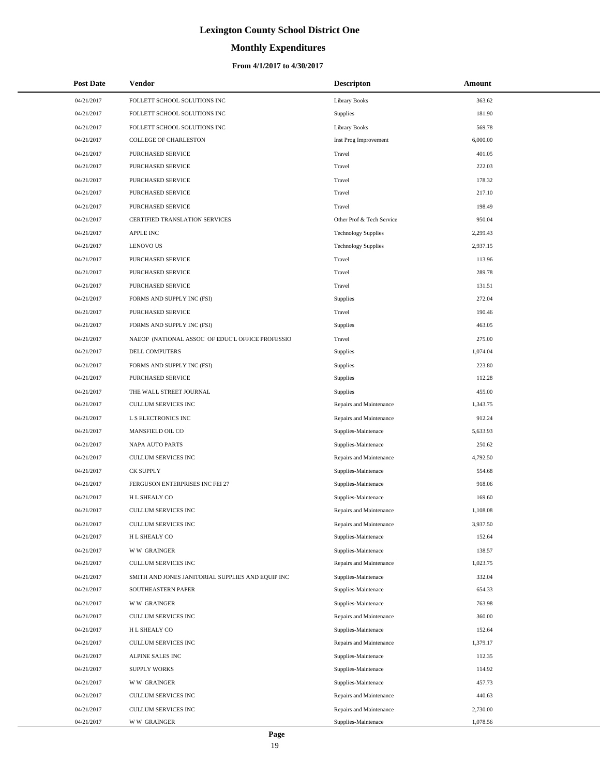# **Monthly Expenditures**

## **From 4/1/2017 to 4/30/2017**

| <b>Post Date</b> | Vendor                                            | <b>Descripton</b>          | Amount   |
|------------------|---------------------------------------------------|----------------------------|----------|
| 04/21/2017       | FOLLETT SCHOOL SOLUTIONS INC                      | <b>Library Books</b>       | 363.62   |
| 04/21/2017       | FOLLETT SCHOOL SOLUTIONS INC                      | Supplies                   | 181.90   |
| 04/21/2017       | FOLLETT SCHOOL SOLUTIONS INC                      | <b>Library Books</b>       | 569.78   |
| 04/21/2017       | COLLEGE OF CHARLESTON                             | Inst Prog Improvement      | 6,000.00 |
| 04/21/2017       | PURCHASED SERVICE                                 | Travel                     | 401.05   |
| 04/21/2017       | PURCHASED SERVICE                                 | Travel                     | 222.03   |
| 04/21/2017       | PURCHASED SERVICE                                 | Travel                     | 178.32   |
| 04/21/2017       | PURCHASED SERVICE                                 | Travel                     | 217.10   |
| 04/21/2017       | PURCHASED SERVICE                                 | Travel                     | 198.49   |
| 04/21/2017       | CERTIFIED TRANSLATION SERVICES                    | Other Prof & Tech Service  | 950.04   |
| 04/21/2017       | APPLE INC                                         | <b>Technology Supplies</b> | 2,299.43 |
| 04/21/2017       | <b>LENOVO US</b>                                  | <b>Technology Supplies</b> | 2,937.15 |
| 04/21/2017       | PURCHASED SERVICE                                 | Travel                     | 113.96   |
| 04/21/2017       | PURCHASED SERVICE                                 | Travel                     | 289.78   |
| 04/21/2017       | PURCHASED SERVICE                                 | Travel                     | 131.51   |
| 04/21/2017       | FORMS AND SUPPLY INC (FSI)                        | Supplies                   | 272.04   |
| 04/21/2017       | PURCHASED SERVICE                                 | Travel                     | 190.46   |
| 04/21/2017       | FORMS AND SUPPLY INC (FSI)                        | <b>Supplies</b>            | 463.05   |
| 04/21/2017       | NAEOP (NATIONAL ASSOC OF EDUC'L OFFICE PROFESSIO  | Travel                     | 275.00   |
| 04/21/2017       | DELL COMPUTERS                                    | <b>Supplies</b>            | 1,074.04 |
| 04/21/2017       | FORMS AND SUPPLY INC (FSI)                        | Supplies                   | 223.80   |
| 04/21/2017       | PURCHASED SERVICE                                 | <b>Supplies</b>            | 112.28   |
| 04/21/2017       | THE WALL STREET JOURNAL                           | Supplies                   | 455.00   |
| 04/21/2017       | CULLUM SERVICES INC                               | Repairs and Maintenance    | 1,343.75 |
| 04/21/2017       | L S ELECTRONICS INC                               | Repairs and Maintenance    | 912.24   |
| 04/21/2017       | MANSFIELD OIL CO                                  | Supplies-Maintenace        | 5,633.93 |
| 04/21/2017       | NAPA AUTO PARTS                                   | Supplies-Maintenace        | 250.62   |
| 04/21/2017       | CULLUM SERVICES INC                               | Repairs and Maintenance    | 4,792.50 |
| 04/21/2017       | <b>CK SUPPLY</b>                                  | Supplies-Maintenace        | 554.68   |
| 04/21/2017       | FERGUSON ENTERPRISES INC FEI 27                   | Supplies-Maintenace        | 918.06   |
| 04/21/2017       | H L SHEALY CO                                     | Supplies-Maintenace        | 169.60   |
| 04/21/2017       | CULLUM SERVICES INC                               | Repairs and Maintenance    | 1,108.08 |
| 04/21/2017       | CULLUM SERVICES INC                               | Repairs and Maintenance    | 3,937.50 |
| 04/21/2017       | H L SHEALY CO                                     | Supplies-Maintenace        | 152.64   |
| 04/21/2017       | <b>WW GRAINGER</b>                                | Supplies-Maintenace        | 138.57   |
| 04/21/2017       | <b>CULLUM SERVICES INC</b>                        | Repairs and Maintenance    | 1,023.75 |
| 04/21/2017       | SMITH AND JONES JANITORIAL SUPPLIES AND EQUIP INC | Supplies-Maintenace        | 332.04   |
| 04/21/2017       | SOUTHEASTERN PAPER                                | Supplies-Maintenace        | 654.33   |
| 04/21/2017       | <b>WW GRAINGER</b>                                | Supplies-Maintenace        | 763.98   |
| 04/21/2017       | CULLUM SERVICES INC                               | Repairs and Maintenance    | 360.00   |
| 04/21/2017       | H L SHEALY CO                                     | Supplies-Maintenace        | 152.64   |
| 04/21/2017       | CULLUM SERVICES INC                               | Repairs and Maintenance    | 1,379.17 |
| 04/21/2017       | ALPINE SALES INC                                  | Supplies-Maintenace        | 112.35   |
| 04/21/2017       | <b>SUPPLY WORKS</b>                               | Supplies-Maintenace        | 114.92   |
| 04/21/2017       | <b>WW GRAINGER</b>                                | Supplies-Maintenace        | 457.73   |
| 04/21/2017       | CULLUM SERVICES INC                               | Repairs and Maintenance    | 440.63   |
| 04/21/2017       | CULLUM SERVICES INC                               | Repairs and Maintenance    | 2,730.00 |
| 04/21/2017       | <b>WW GRAINGER</b>                                | Supplies-Maintenace        | 1,078.56 |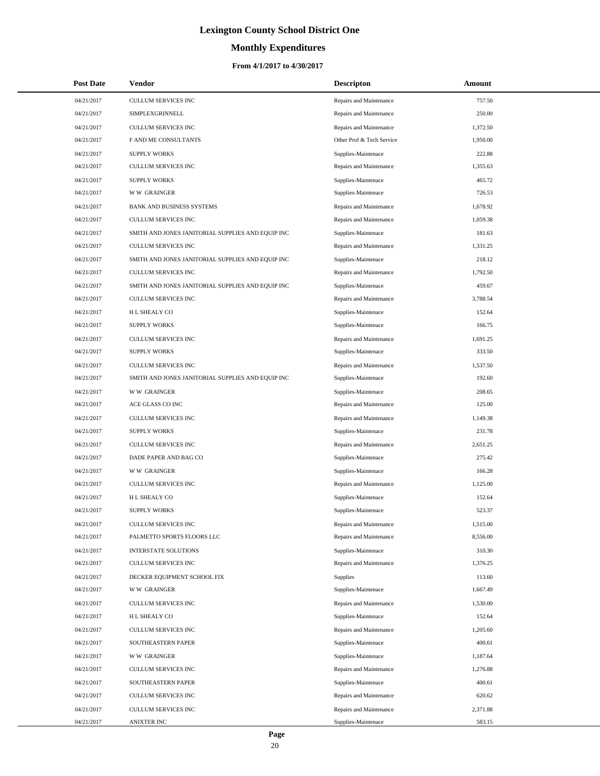# **Monthly Expenditures**

## **From 4/1/2017 to 4/30/2017**

| <b>Post Date</b> | Vendor                                            | <b>Descripton</b>         | Amount   |  |
|------------------|---------------------------------------------------|---------------------------|----------|--|
| 04/21/2017       | CULLUM SERVICES INC                               | Repairs and Maintenance   | 757.50   |  |
| 04/21/2017       | SIMPLEXGRINNELL                                   | Repairs and Maintenance   | 250.00   |  |
| 04/21/2017       | <b>CULLUM SERVICES INC</b>                        | Repairs and Maintenance   | 1,372.50 |  |
| 04/21/2017       | F AND ME CONSULTANTS                              | Other Prof & Tech Service | 1,950.00 |  |
| 04/21/2017       | <b>SUPPLY WORKS</b>                               | Supplies-Maintenace       | 222.88   |  |
| 04/21/2017       | CULLUM SERVICES INC                               | Repairs and Maintenance   | 1,355.63 |  |
| 04/21/2017       | <b>SUPPLY WORKS</b>                               | Supplies-Maintenace       | 465.72   |  |
| 04/21/2017       | <b>WW GRAINGER</b>                                | Supplies-Maintenace       | 726.53   |  |
| 04/21/2017       | <b>BANK AND BUSINESS SYSTEMS</b>                  | Repairs and Maintenance   | 1,678.92 |  |
| 04/21/2017       | <b>CULLUM SERVICES INC</b>                        | Repairs and Maintenance   | 1,059.38 |  |
| 04/21/2017       | SMITH AND JONES JANITORIAL SUPPLIES AND EQUIP INC | Supplies-Maintenace       | 181.63   |  |
| 04/21/2017       | CULLUM SERVICES INC                               | Repairs and Maintenance   | 1,331.25 |  |
| 04/21/2017       | SMITH AND JONES JANITORIAL SUPPLIES AND EQUIP INC | Supplies-Maintenace       | 218.12   |  |
| 04/21/2017       | CULLUM SERVICES INC                               | Repairs and Maintenance   | 1,792.50 |  |
| 04/21/2017       | SMITH AND JONES JANITORIAL SUPPLIES AND EQUIP INC | Supplies-Maintenace       | 459.67   |  |
| 04/21/2017       | CULLUM SERVICES INC                               | Repairs and Maintenance   | 3,788.54 |  |
| 04/21/2017       | H L SHEALY CO                                     | Supplies-Maintenace       | 152.64   |  |
| 04/21/2017       | <b>SUPPLY WORKS</b>                               | Supplies-Maintenace       | 166.75   |  |
| 04/21/2017       | CULLUM SERVICES INC                               | Repairs and Maintenance   | 1,691.25 |  |
| 04/21/2017       | <b>SUPPLY WORKS</b>                               | Supplies-Maintenace       | 333.50   |  |
| 04/21/2017       | <b>CULLUM SERVICES INC</b>                        | Repairs and Maintenance   | 1,537.50 |  |
| 04/21/2017       | SMITH AND JONES JANITORIAL SUPPLIES AND EQUIP INC | Supplies-Maintenace       | 192.60   |  |
| 04/21/2017       | <b>WW GRAINGER</b>                                | Supplies-Maintenace       | 208.65   |  |
| 04/21/2017       | ACE GLASS CO INC                                  | Repairs and Maintenance   | 125.00   |  |
| 04/21/2017       | CULLUM SERVICES INC                               | Repairs and Maintenance   | 1,149.38 |  |
| 04/21/2017       | <b>SUPPLY WORKS</b>                               | Supplies-Maintenace       | 231.78   |  |
| 04/21/2017       | CULLUM SERVICES INC                               | Repairs and Maintenance   | 2,651.25 |  |
| 04/21/2017       | DADE PAPER AND BAG CO                             | Supplies-Maintenace       | 275.42   |  |
| 04/21/2017       | <b>WW GRAINGER</b>                                | Supplies-Maintenace       | 166.28   |  |
| 04/21/2017       | <b>CULLUM SERVICES INC</b>                        | Repairs and Maintenance   | 1,125.00 |  |
| 04/21/2017       | H L SHEALY CO                                     | Supplies-Maintenace       | 152.64   |  |
| 04/21/2017       | <b>SUPPLY WORKS</b>                               | Supplies-Maintenace       | 523.37   |  |
| 04/21/2017       | CULLUM SERVICES INC                               | Repairs and Maintenance   | 1,515.00 |  |
| 04/21/2017       | PALMETTO SPORTS FLOORS LLC                        | Repairs and Maintenance   | 8,556.00 |  |
| 04/21/2017       | <b>INTERSTATE SOLUTIONS</b>                       | Supplies-Maintenace       | 310.30   |  |
| 04/21/2017       | CULLUM SERVICES INC                               | Repairs and Maintenance   | 1,376.25 |  |
| 04/21/2017       | DECKER EQUIPMENT SCHOOL FIX                       | <b>Supplies</b>           | 113.60   |  |
| 04/21/2017       | <b>WW GRAINGER</b>                                | Supplies-Maintenace       | 1,667.49 |  |
| 04/21/2017       | <b>CULLUM SERVICES INC</b>                        | Repairs and Maintenance   | 1,530.00 |  |
| 04/21/2017       | H L SHEALY CO                                     | Supplies-Maintenace       | 152.64   |  |
| 04/21/2017       | CULLUM SERVICES INC                               | Repairs and Maintenance   | 1,205.60 |  |
| 04/21/2017       | SOUTHEASTERN PAPER                                | Supplies-Maintenace       | 400.61   |  |
| 04/21/2017       | <b>WW GRAINGER</b>                                | Supplies-Maintenace       | 1,187.64 |  |
| 04/21/2017       | CULLUM SERVICES INC                               | Repairs and Maintenance   | 1,276.88 |  |
| 04/21/2017       | SOUTHEASTERN PAPER                                | Supplies-Maintenace       | 400.61   |  |
| 04/21/2017       | CULLUM SERVICES INC                               | Repairs and Maintenance   | 620.62   |  |
| 04/21/2017       | CULLUM SERVICES INC                               | Repairs and Maintenance   | 2,371.88 |  |
| 04/21/2017       | ANIXTER INC                                       | Supplies-Maintenace       | 583.15   |  |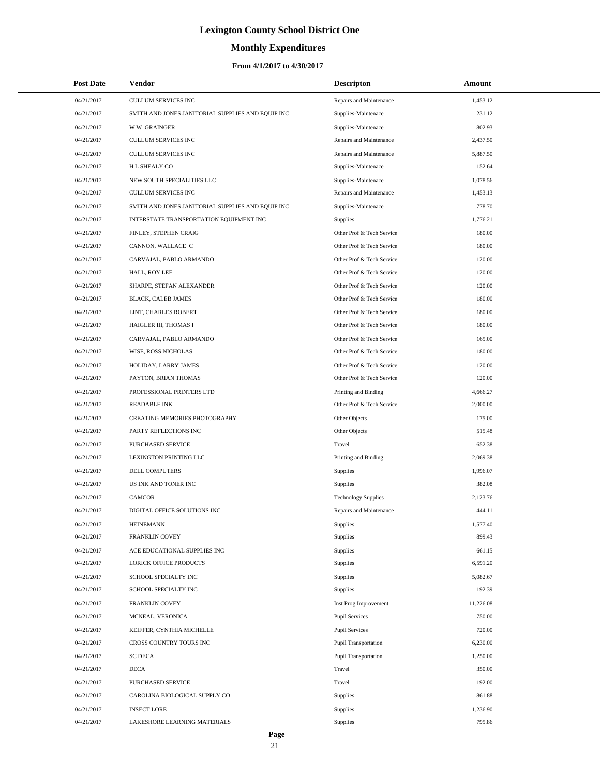# **Monthly Expenditures**

## **From 4/1/2017 to 4/30/2017**

| <b>Post Date</b> | Vendor                                            | <b>Descripton</b>          | Amount    |
|------------------|---------------------------------------------------|----------------------------|-----------|
| 04/21/2017       | CULLUM SERVICES INC                               | Repairs and Maintenance    | 1,453.12  |
| 04/21/2017       | SMITH AND JONES JANITORIAL SUPPLIES AND EQUIP INC | Supplies-Maintenace        | 231.12    |
| 04/21/2017       | <b>WW GRAINGER</b>                                | Supplies-Maintenace        | 802.93    |
| 04/21/2017       | <b>CULLUM SERVICES INC</b>                        | Repairs and Maintenance    | 2,437.50  |
| 04/21/2017       | <b>CULLUM SERVICES INC</b>                        | Repairs and Maintenance    | 5,887.50  |
| 04/21/2017       | H L SHEALY CO                                     | Supplies-Maintenace        | 152.64    |
| 04/21/2017       | NEW SOUTH SPECIALITIES LLC                        | Supplies-Maintenace        | 1,078.56  |
| 04/21/2017       | <b>CULLUM SERVICES INC</b>                        | Repairs and Maintenance    | 1,453.13  |
| 04/21/2017       | SMITH AND JONES JANITORIAL SUPPLIES AND EQUIP INC | Supplies-Maintenace        | 778.70    |
| 04/21/2017       | INTERSTATE TRANSPORTATION EQUIPMENT INC           | Supplies                   | 1,776.21  |
| 04/21/2017       | FINLEY, STEPHEN CRAIG                             | Other Prof & Tech Service  | 180.00    |
| 04/21/2017       | CANNON, WALLACE C                                 | Other Prof & Tech Service  | 180.00    |
| 04/21/2017       | CARVAJAL, PABLO ARMANDO                           | Other Prof & Tech Service  | 120.00    |
| 04/21/2017       | HALL, ROY LEE                                     | Other Prof & Tech Service  | 120.00    |
| 04/21/2017       | SHARPE, STEFAN ALEXANDER                          | Other Prof & Tech Service  | 120.00    |
| 04/21/2017       | BLACK, CALEB JAMES                                | Other Prof & Tech Service  | 180.00    |
| 04/21/2017       | LINT, CHARLES ROBERT                              | Other Prof & Tech Service  | 180.00    |
| 04/21/2017       | HAIGLER III, THOMAS I                             | Other Prof & Tech Service  | 180.00    |
| 04/21/2017       | CARVAJAL, PABLO ARMANDO                           | Other Prof & Tech Service  | 165.00    |
| 04/21/2017       | WISE, ROSS NICHOLAS                               | Other Prof & Tech Service  | 180.00    |
| 04/21/2017       | HOLIDAY, LARRY JAMES                              | Other Prof & Tech Service  | 120.00    |
| 04/21/2017       | PAYTON, BRIAN THOMAS                              | Other Prof & Tech Service  | 120.00    |
| 04/21/2017       | PROFESSIONAL PRINTERS LTD                         | Printing and Binding       | 4,666.27  |
| 04/21/2017       | <b>READABLE INK</b>                               | Other Prof & Tech Service  | 2,000.00  |
| 04/21/2017       | CREATING MEMORIES PHOTOGRAPHY                     | Other Objects              | 175.00    |
| 04/21/2017       | PARTY REFLECTIONS INC                             | Other Objects              | 515.48    |
| 04/21/2017       | PURCHASED SERVICE                                 | Travel                     | 652.38    |
| 04/21/2017       | LEXINGTON PRINTING LLC                            | Printing and Binding       | 2,069.38  |
| 04/21/2017       | <b>DELL COMPUTERS</b>                             | Supplies                   | 1,996.07  |
| 04/21/2017       | US INK AND TONER INC                              | Supplies                   | 382.08    |
| 04/21/2017       | <b>CAMCOR</b>                                     | <b>Technology Supplies</b> | 2,123.76  |
| 04/21/2017       | DIGITAL OFFICE SOLUTIONS INC                      | Repairs and Maintenance    | 444.11    |
| 04/21/2017       | <b>HEINEMANN</b>                                  | Supplies                   | 1,577.40  |
| 04/21/2017       | <b>FRANKLIN COVEY</b>                             | Supplies                   | 899.43    |
| 04/21/2017       | ACE EDUCATIONAL SUPPLIES INC                      | Supplies                   | 661.15    |
| 04/21/2017       | <b>LORICK OFFICE PRODUCTS</b>                     | Supplies                   | 6,591.20  |
| 04/21/2017       | SCHOOL SPECIALTY INC                              | Supplies                   | 5,082.67  |
| 04/21/2017       | SCHOOL SPECIALTY INC                              | Supplies                   | 192.39    |
| 04/21/2017       | <b>FRANKLIN COVEY</b>                             | Inst Prog Improvement      | 11,226.08 |
| 04/21/2017       | MCNEAL, VERONICA                                  | <b>Pupil Services</b>      | 750.00    |
| 04/21/2017       | KEIFFER, CYNTHIA MICHELLE                         | <b>Pupil Services</b>      | 720.00    |
| 04/21/2017       | CROSS COUNTRY TOURS INC                           | Pupil Transportation       | 6,230.00  |
| 04/21/2017       | <b>SC DECA</b>                                    | Pupil Transportation       | 1,250.00  |
| 04/21/2017       | <b>DECA</b>                                       | Travel                     | 350.00    |
| 04/21/2017       | PURCHASED SERVICE                                 | Travel                     | 192.00    |
| 04/21/2017       | CAROLINA BIOLOGICAL SUPPLY CO                     | Supplies                   | 861.88    |
| 04/21/2017       | <b>INSECT LORE</b>                                | Supplies                   | 1,236.90  |
| 04/21/2017       | LAKESHORE LEARNING MATERIALS                      | Supplies                   | 795.86    |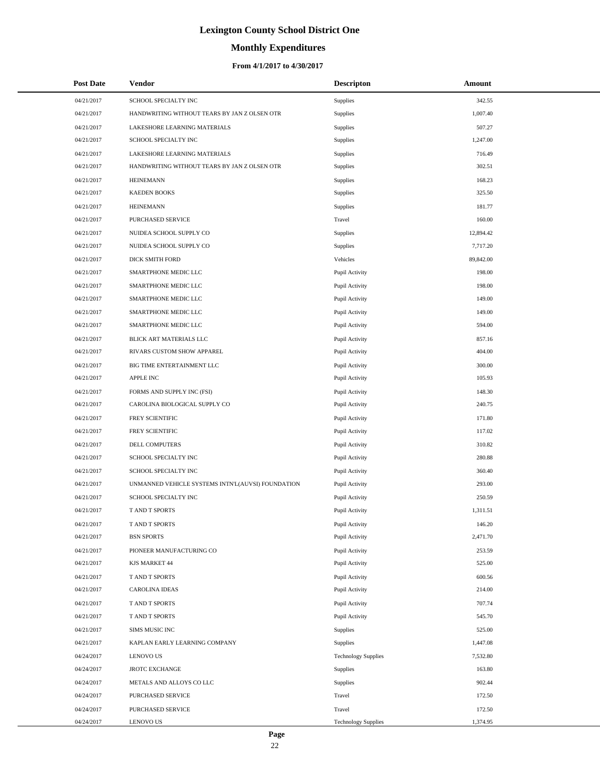# **Monthly Expenditures**

| <b>Post Date</b> | Vendor                                            | <b>Descripton</b>          | Amount    |  |
|------------------|---------------------------------------------------|----------------------------|-----------|--|
| 04/21/2017       | SCHOOL SPECIALTY INC                              | Supplies                   | 342.55    |  |
| 04/21/2017       | HANDWRITING WITHOUT TEARS BY JAN Z OLSEN OTR      | <b>Supplies</b>            | 1,007.40  |  |
| 04/21/2017       | LAKESHORE LEARNING MATERIALS                      | Supplies                   | 507.27    |  |
| 04/21/2017       | SCHOOL SPECIALTY INC                              | <b>Supplies</b>            | 1,247.00  |  |
| 04/21/2017       | LAKESHORE LEARNING MATERIALS                      | Supplies                   | 716.49    |  |
| 04/21/2017       | HANDWRITING WITHOUT TEARS BY JAN Z OLSEN OTR      | <b>Supplies</b>            | 302.51    |  |
| 04/21/2017       | <b>HEINEMANN</b>                                  | Supplies                   | 168.23    |  |
| 04/21/2017       | <b>KAEDEN BOOKS</b>                               | <b>Supplies</b>            | 325.50    |  |
| 04/21/2017       | <b>HEINEMANN</b>                                  | Supplies                   | 181.77    |  |
| 04/21/2017       | PURCHASED SERVICE                                 | Travel                     | 160.00    |  |
| 04/21/2017       | NUIDEA SCHOOL SUPPLY CO                           | <b>Supplies</b>            | 12,894.42 |  |
| 04/21/2017       | NUIDEA SCHOOL SUPPLY CO                           | Supplies                   | 7,717.20  |  |
| 04/21/2017       | DICK SMITH FORD                                   | Vehicles                   | 89,842.00 |  |
| 04/21/2017       | SMARTPHONE MEDIC LLC                              | Pupil Activity             | 198.00    |  |
| 04/21/2017       | SMARTPHONE MEDIC LLC                              | Pupil Activity             | 198.00    |  |
| 04/21/2017       | SMARTPHONE MEDIC LLC                              | Pupil Activity             | 149.00    |  |
| 04/21/2017       | SMARTPHONE MEDIC LLC                              | Pupil Activity             | 149.00    |  |
| 04/21/2017       | SMARTPHONE MEDIC LLC                              | Pupil Activity             | 594.00    |  |
| 04/21/2017       | BLICK ART MATERIALS LLC                           | Pupil Activity             | 857.16    |  |
| 04/21/2017       | RIVARS CUSTOM SHOW APPAREL                        | Pupil Activity             | 404.00    |  |
| 04/21/2017       | BIG TIME ENTERTAINMENT LLC                        | Pupil Activity             | 300.00    |  |
| 04/21/2017       | <b>APPLE INC</b>                                  | Pupil Activity             | 105.93    |  |
| 04/21/2017       | FORMS AND SUPPLY INC (FSI)                        | Pupil Activity             | 148.30    |  |
| 04/21/2017       | CAROLINA BIOLOGICAL SUPPLY CO                     | Pupil Activity             | 240.75    |  |
| 04/21/2017       | FREY SCIENTIFIC                                   | Pupil Activity             | 171.80    |  |
| 04/21/2017       | FREY SCIENTIFIC                                   | Pupil Activity             | 117.02    |  |
| 04/21/2017       | DELL COMPUTERS                                    | Pupil Activity             | 310.82    |  |
| 04/21/2017       | SCHOOL SPECIALTY INC                              | Pupil Activity             | 280.88    |  |
| 04/21/2017       | SCHOOL SPECIALTY INC                              | Pupil Activity             | 360.40    |  |
| 04/21/2017       | UNMANNED VEHICLE SYSTEMS INTN'L(AUVSI) FOUNDATION | Pupil Activity             | 293.00    |  |
| 04/21/2017       | SCHOOL SPECIALTY INC                              | Pupil Activity             | 250.59    |  |
| 04/21/2017       | T AND T SPORTS                                    | Pupil Activity             | 1,311.51  |  |
| 04/21/2017       | T AND T SPORTS                                    | Pupil Activity             | 146.20    |  |
| 04/21/2017       | <b>BSN SPORTS</b>                                 | Pupil Activity             | 2,471.70  |  |
| 04/21/2017       | PIONEER MANUFACTURING CO                          | Pupil Activity             | 253.59    |  |
| 04/21/2017       | KJS MARKET 44                                     | Pupil Activity             | 525.00    |  |
| 04/21/2017       | T AND T SPORTS                                    | Pupil Activity             | 600.56    |  |
| 04/21/2017       | <b>CAROLINA IDEAS</b>                             | Pupil Activity             | 214.00    |  |
| 04/21/2017       | T AND T SPORTS                                    | Pupil Activity             | 707.74    |  |
| 04/21/2017       | T AND T SPORTS                                    | Pupil Activity             | 545.70    |  |
| 04/21/2017       | SIMS MUSIC INC                                    | Supplies                   | 525.00    |  |
| 04/21/2017       | KAPLAN EARLY LEARNING COMPANY                     | Supplies                   | 1,447.08  |  |
| 04/24/2017       | <b>LENOVO US</b>                                  | <b>Technology Supplies</b> | 7,532.80  |  |
| 04/24/2017       | <b>JROTC EXCHANGE</b>                             | Supplies                   | 163.80    |  |
| 04/24/2017       | METALS AND ALLOYS CO LLC                          | Supplies                   | 902.44    |  |
| 04/24/2017       | PURCHASED SERVICE                                 | Travel                     | 172.50    |  |
| 04/24/2017       | PURCHASED SERVICE                                 | Travel                     | 172.50    |  |
| 04/24/2017       | <b>LENOVO US</b>                                  | <b>Technology Supplies</b> | 1,374.95  |  |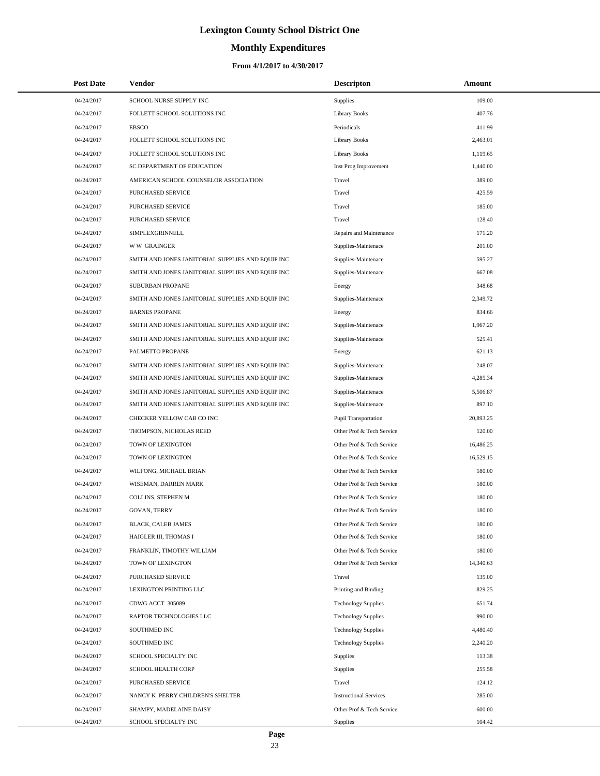# **Monthly Expenditures**

| <b>Post Date</b> | Vendor                                            | <b>Descripton</b>             | Amount    |
|------------------|---------------------------------------------------|-------------------------------|-----------|
| 04/24/2017       | SCHOOL NURSE SUPPLY INC                           | Supplies                      | 109.00    |
| 04/24/2017       | FOLLETT SCHOOL SOLUTIONS INC                      | <b>Library Books</b>          | 407.76    |
| 04/24/2017       | <b>EBSCO</b>                                      | Periodicals                   | 411.99    |
| 04/24/2017       | FOLLETT SCHOOL SOLUTIONS INC                      | <b>Library Books</b>          | 2,463.01  |
| 04/24/2017       | FOLLETT SCHOOL SOLUTIONS INC                      | <b>Library Books</b>          | 1,119.65  |
| 04/24/2017       | SC DEPARTMENT OF EDUCATION                        | Inst Prog Improvement         | 1,440.00  |
| 04/24/2017       | AMERICAN SCHOOL COUNSELOR ASSOCIATION             | Travel                        | 389.00    |
| 04/24/2017       | PURCHASED SERVICE                                 | Travel                        | 425.59    |
| 04/24/2017       | PURCHASED SERVICE                                 | Travel                        | 185.00    |
| 04/24/2017       | PURCHASED SERVICE                                 | Travel                        | 128.40    |
| 04/24/2017       | SIMPLEXGRINNELL                                   | Repairs and Maintenance       | 171.20    |
| 04/24/2017       | <b>WW GRAINGER</b>                                | Supplies-Maintenace           | 201.00    |
| 04/24/2017       | SMITH AND JONES JANITORIAL SUPPLIES AND EQUIP INC | Supplies-Maintenace           | 595.27    |
| 04/24/2017       | SMITH AND JONES JANITORIAL SUPPLIES AND EQUIP INC | Supplies-Maintenace           | 667.08    |
| 04/24/2017       | SUBURBAN PROPANE                                  | Energy                        | 348.68    |
| 04/24/2017       | SMITH AND JONES JANITORIAL SUPPLIES AND EQUIP INC | Supplies-Maintenace           | 2,349.72  |
| 04/24/2017       | <b>BARNES PROPANE</b>                             | Energy                        | 834.66    |
| 04/24/2017       | SMITH AND JONES JANITORIAL SUPPLIES AND EQUIP INC | Supplies-Maintenace           | 1,967.20  |
| 04/24/2017       | SMITH AND JONES JANITORIAL SUPPLIES AND EQUIP INC | Supplies-Maintenace           | 525.41    |
| 04/24/2017       | PALMETTO PROPANE                                  | Energy                        | 621.13    |
| 04/24/2017       | SMITH AND JONES JANITORIAL SUPPLIES AND EQUIP INC | Supplies-Maintenace           | 248.07    |
| 04/24/2017       | SMITH AND JONES JANITORIAL SUPPLIES AND EQUIP INC | Supplies-Maintenace           | 4,285.34  |
| 04/24/2017       | SMITH AND JONES JANITORIAL SUPPLIES AND EQUIP INC | Supplies-Maintenace           | 5,506.87  |
| 04/24/2017       | SMITH AND JONES JANITORIAL SUPPLIES AND EQUIP INC | Supplies-Maintenace           | 897.10    |
| 04/24/2017       | CHECKER YELLOW CAB CO INC                         | <b>Pupil Transportation</b>   | 20,893.25 |
| 04/24/2017       | THOMPSON, NICHOLAS REED                           | Other Prof & Tech Service     | 120.00    |
| 04/24/2017       | TOWN OF LEXINGTON                                 | Other Prof & Tech Service     | 16,486.25 |
| 04/24/2017       | TOWN OF LEXINGTON                                 | Other Prof & Tech Service     | 16,529.15 |
| 04/24/2017       | WILFONG, MICHAEL BRIAN                            | Other Prof & Tech Service     | 180.00    |
| 04/24/2017       | WISEMAN, DARREN MARK                              | Other Prof & Tech Service     | 180.00    |
| 04/24/2017       | COLLINS, STEPHEN M                                | Other Prof & Tech Service     | 180.00    |
| 04/24/2017       | <b>GOVAN, TERRY</b>                               | Other Prof & Tech Service     | 180.00    |
| 04/24/2017       | BLACK, CALEB JAMES                                | Other Prof & Tech Service     | 180.00    |
| 04/24/2017       | HAIGLER III, THOMAS I                             | Other Prof & Tech Service     | 180.00    |
| 04/24/2017       | FRANKLIN, TIMOTHY WILLIAM                         | Other Prof & Tech Service     | 180.00    |
| 04/24/2017       | TOWN OF LEXINGTON                                 | Other Prof & Tech Service     | 14,340.63 |
| 04/24/2017       | PURCHASED SERVICE                                 | Travel                        | 135.00    |
| 04/24/2017       | LEXINGTON PRINTING LLC                            | Printing and Binding          | 829.25    |
| 04/24/2017       | CDWG ACCT 305089                                  | <b>Technology Supplies</b>    | 651.74    |
| 04/24/2017       | RAPTOR TECHNOLOGIES LLC                           | <b>Technology Supplies</b>    | 990.00    |
| 04/24/2017       | SOUTHMED INC                                      | <b>Technology Supplies</b>    | 4,480.40  |
| 04/24/2017       | SOUTHMED INC                                      | <b>Technology Supplies</b>    | 2,240.20  |
| 04/24/2017       | SCHOOL SPECIALTY INC                              | Supplies                      | 113.38    |
| 04/24/2017       | SCHOOL HEALTH CORP                                | Supplies                      | 255.58    |
| 04/24/2017       | PURCHASED SERVICE                                 | Travel                        | 124.12    |
| 04/24/2017       | NANCY K PERRY CHILDREN'S SHELTER                  | <b>Instructional Services</b> | 285.00    |
| 04/24/2017       | SHAMPY, MADELAINE DAISY                           | Other Prof & Tech Service     | 600.00    |
| 04/24/2017       | SCHOOL SPECIALTY INC                              | Supplies                      | 104.42    |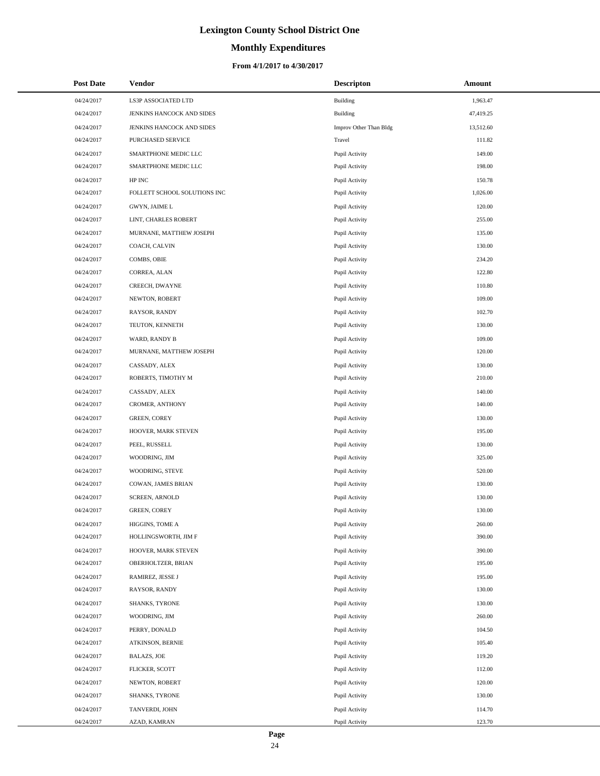# **Monthly Expenditures**

## **From 4/1/2017 to 4/30/2017**

| <b>Post Date</b> | Vendor                       | <b>Descripton</b>      | <b>Amount</b> |
|------------------|------------------------------|------------------------|---------------|
| 04/24/2017       | LS3P ASSOCIATED LTD          | Building               | 1,963.47      |
| 04/24/2017       | JENKINS HANCOCK AND SIDES    | Building               | 47,419.25     |
| 04/24/2017       | JENKINS HANCOCK AND SIDES    | Improv Other Than Bldg | 13,512.60     |
| 04/24/2017       | PURCHASED SERVICE            | Travel                 | 111.82        |
| 04/24/2017       | SMARTPHONE MEDIC LLC         | Pupil Activity         | 149.00        |
| 04/24/2017       | SMARTPHONE MEDIC LLC         | Pupil Activity         | 198.00        |
| 04/24/2017       | HP INC                       | Pupil Activity         | 150.78        |
| 04/24/2017       | FOLLETT SCHOOL SOLUTIONS INC | Pupil Activity         | 1,026.00      |
| 04/24/2017       | GWYN, JAIME L                | Pupil Activity         | 120.00        |
| 04/24/2017       | LINT, CHARLES ROBERT         | Pupil Activity         | 255.00        |
| 04/24/2017       | MURNANE, MATTHEW JOSEPH      | Pupil Activity         | 135.00        |
| 04/24/2017       | COACH, CALVIN                | Pupil Activity         | 130.00        |
| 04/24/2017       | COMBS, OBIE                  | Pupil Activity         | 234.20        |
| 04/24/2017       | CORREA, ALAN                 | Pupil Activity         | 122.80        |
| 04/24/2017       | CREECH, DWAYNE               | Pupil Activity         | 110.80        |
| 04/24/2017       | NEWTON, ROBERT               | Pupil Activity         | 109.00        |
| 04/24/2017       | RAYSOR, RANDY                | Pupil Activity         | 102.70        |
| 04/24/2017       | TEUTON, KENNETH              | Pupil Activity         | 130.00        |
| 04/24/2017       | WARD, RANDY B                | Pupil Activity         | 109.00        |
| 04/24/2017       | MURNANE, MATTHEW JOSEPH      | Pupil Activity         | 120.00        |
| 04/24/2017       | CASSADY, ALEX                | Pupil Activity         | 130.00        |
| 04/24/2017       | ROBERTS, TIMOTHY M           | Pupil Activity         | 210.00        |
| 04/24/2017       | CASSADY, ALEX                | Pupil Activity         | 140.00        |
| 04/24/2017       | CROMER, ANTHONY              | Pupil Activity         | 140.00        |
| 04/24/2017       | <b>GREEN, COREY</b>          | Pupil Activity         | 130.00        |
| 04/24/2017       | HOOVER, MARK STEVEN          | Pupil Activity         | 195.00        |
| 04/24/2017       | PEEL, RUSSELL                | Pupil Activity         | 130.00        |
| 04/24/2017       | WOODRING, JIM                | Pupil Activity         | 325.00        |
| 04/24/2017       | WOODRING, STEVE              | Pupil Activity         | 520.00        |
| 04/24/2017       | COWAN, JAMES BRIAN           | Pupil Activity         | 130.00        |
| 04/24/2017       | <b>SCREEN, ARNOLD</b>        | Pupil Activity         | 130.00        |
| 04/24/2017       | <b>GREEN, COREY</b>          | Pupil Activity         | 130.00        |
| 04/24/2017       | HIGGINS, TOME A              | Pupil Activity         | 260.00        |
| 04/24/2017       | HOLLINGSWORTH, JIM F         | Pupil Activity         | 390.00        |
| 04/24/2017       | HOOVER, MARK STEVEN          | Pupil Activity         | 390.00        |
| 04/24/2017       | OBERHOLTZER, BRIAN           | Pupil Activity         | 195.00        |
| 04/24/2017       | RAMIREZ, JESSE J             | Pupil Activity         | 195.00        |
| 04/24/2017       | RAYSOR, RANDY                | Pupil Activity         | 130.00        |
| 04/24/2017       | SHANKS, TYRONE               | Pupil Activity         | 130.00        |
| 04/24/2017       | WOODRING, JIM                | Pupil Activity         | 260.00        |
| 04/24/2017       | PERRY, DONALD                | Pupil Activity         | 104.50        |
| 04/24/2017       | ATKINSON, BERNIE             | Pupil Activity         | 105.40        |
| 04/24/2017       | <b>BALAZS, JOE</b>           | Pupil Activity         | 119.20        |
| 04/24/2017       | FLICKER, SCOTT               | Pupil Activity         | 112.00        |
| 04/24/2017       | NEWTON, ROBERT               | Pupil Activity         | 120.00        |
| 04/24/2017       | SHANKS, TYRONE               | Pupil Activity         | 130.00        |
| 04/24/2017       | TANVERDI, JOHN               | Pupil Activity         | 114.70        |
| 04/24/2017       | AZAD, KAMRAN                 | Pupil Activity         | 123.70        |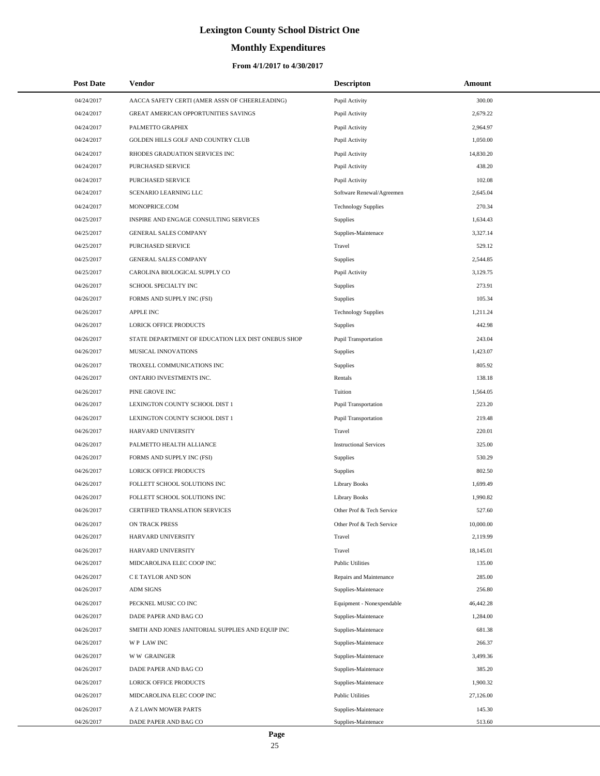# **Monthly Expenditures**

## **From 4/1/2017 to 4/30/2017**

| <b>Post Date</b> | <b>Vendor</b>                                      | <b>Descripton</b>             | Amount    |  |
|------------------|----------------------------------------------------|-------------------------------|-----------|--|
| 04/24/2017       | AACCA SAFETY CERTI (AMER ASSN OF CHEERLEADING)     | Pupil Activity                | 300.00    |  |
| 04/24/2017       | GREAT AMERICAN OPPORTUNITIES SAVINGS               | Pupil Activity                | 2,679.22  |  |
| 04/24/2017       | PALMETTO GRAPHIX                                   | Pupil Activity                | 2,964.97  |  |
| 04/24/2017       | GOLDEN HILLS GOLF AND COUNTRY CLUB                 | Pupil Activity                | 1,050.00  |  |
| 04/24/2017       | RHODES GRADUATION SERVICES INC                     | Pupil Activity                | 14,830.20 |  |
| 04/24/2017       | PURCHASED SERVICE                                  | Pupil Activity                | 438.20    |  |
| 04/24/2017       | PURCHASED SERVICE                                  | Pupil Activity                | 102.08    |  |
| 04/24/2017       | SCENARIO LEARNING LLC                              | Software Renewal/Agreemen     | 2,645.04  |  |
| 04/24/2017       | MONOPRICE.COM                                      | <b>Technology Supplies</b>    | 270.34    |  |
| 04/25/2017       | INSPIRE AND ENGAGE CONSULTING SERVICES             | Supplies                      | 1,634.43  |  |
| 04/25/2017       | GENERAL SALES COMPANY                              | Supplies-Maintenace           | 3,327.14  |  |
| 04/25/2017       | PURCHASED SERVICE                                  | Travel                        | 529.12    |  |
| 04/25/2017       | GENERAL SALES COMPANY                              | Supplies                      | 2,544.85  |  |
| 04/25/2017       | CAROLINA BIOLOGICAL SUPPLY CO                      | Pupil Activity                | 3,129.75  |  |
| 04/26/2017       | SCHOOL SPECIALTY INC                               | Supplies                      | 273.91    |  |
| 04/26/2017       | FORMS AND SUPPLY INC (FSI)                         | Supplies                      | 105.34    |  |
| 04/26/2017       | <b>APPLE INC</b>                                   | <b>Technology Supplies</b>    | 1,211.24  |  |
| 04/26/2017       | LORICK OFFICE PRODUCTS                             | Supplies                      | 442.98    |  |
| 04/26/2017       | STATE DEPARTMENT OF EDUCATION LEX DIST ONEBUS SHOP | Pupil Transportation          | 243.04    |  |
| 04/26/2017       | MUSICAL INNOVATIONS                                | Supplies                      | 1,423.07  |  |
| 04/26/2017       | TROXELL COMMUNICATIONS INC                         | Supplies                      | 805.92    |  |
| 04/26/2017       | ONTARIO INVESTMENTS INC.                           | Rentals                       | 138.18    |  |
| 04/26/2017       | PINE GROVE INC                                     | Tuition                       | 1,564.05  |  |
| 04/26/2017       | LEXINGTON COUNTY SCHOOL DIST 1                     | Pupil Transportation          | 223.20    |  |
| 04/26/2017       | LEXINGTON COUNTY SCHOOL DIST 1                     | Pupil Transportation          | 219.48    |  |
| 04/26/2017       | HARVARD UNIVERSITY                                 | Travel                        | 220.01    |  |
| 04/26/2017       | PALMETTO HEALTH ALLIANCE                           | <b>Instructional Services</b> | 325.00    |  |
| 04/26/2017       | FORMS AND SUPPLY INC (FSI)                         | Supplies                      | 530.29    |  |
| 04/26/2017       | LORICK OFFICE PRODUCTS                             | Supplies                      | 802.50    |  |
| 04/26/2017       | FOLLETT SCHOOL SOLUTIONS INC                       | <b>Library Books</b>          | 1,699.49  |  |
| 04/26/2017       | FOLLETT SCHOOL SOLUTIONS INC                       | <b>Library Books</b>          | 1,990.82  |  |
| 04/26/2017       | <b>CERTIFIED TRANSLATION SERVICES</b>              | Other Prof & Tech Service     | 527.60    |  |
| 04/26/2017       | ON TRACK PRESS                                     | Other Prof & Tech Service     | 10,000.00 |  |
| 04/26/2017       | HARVARD UNIVERSITY                                 | Travel                        | 2,119.99  |  |
| 04/26/2017       | HARVARD UNIVERSITY                                 | Travel                        | 18,145.01 |  |
| 04/26/2017       | MIDCAROLINA ELEC COOP INC                          | <b>Public Utilities</b>       | 135.00    |  |
| 04/26/2017       | C E TAYLOR AND SON                                 | Repairs and Maintenance       | 285.00    |  |
| 04/26/2017       | <b>ADM SIGNS</b>                                   | Supplies-Maintenace           | 256.80    |  |
| 04/26/2017       | PECKNEL MUSIC CO INC                               | Equipment - Nonexpendable     | 46,442.28 |  |
| 04/26/2017       | DADE PAPER AND BAG CO                              | Supplies-Maintenace           | 1,284.00  |  |
| 04/26/2017       | SMITH AND JONES JANITORIAL SUPPLIES AND EQUIP INC  | Supplies-Maintenace           | 681.38    |  |
| 04/26/2017       | WP LAW INC                                         | Supplies-Maintenace           | 266.37    |  |
| 04/26/2017       | <b>WW GRAINGER</b>                                 | Supplies-Maintenace           | 3,499.36  |  |
| 04/26/2017       | DADE PAPER AND BAG CO                              | Supplies-Maintenace           | 385.20    |  |
| 04/26/2017       | LORICK OFFICE PRODUCTS                             | Supplies-Maintenace           | 1,900.32  |  |
| 04/26/2017       | MIDCAROLINA ELEC COOP INC                          | <b>Public Utilities</b>       | 27,126.00 |  |
| 04/26/2017       | A Z LAWN MOWER PARTS                               | Supplies-Maintenace           | 145.30    |  |
| 04/26/2017       | DADE PAPER AND BAG CO                              | Supplies-Maintenace           | 513.60    |  |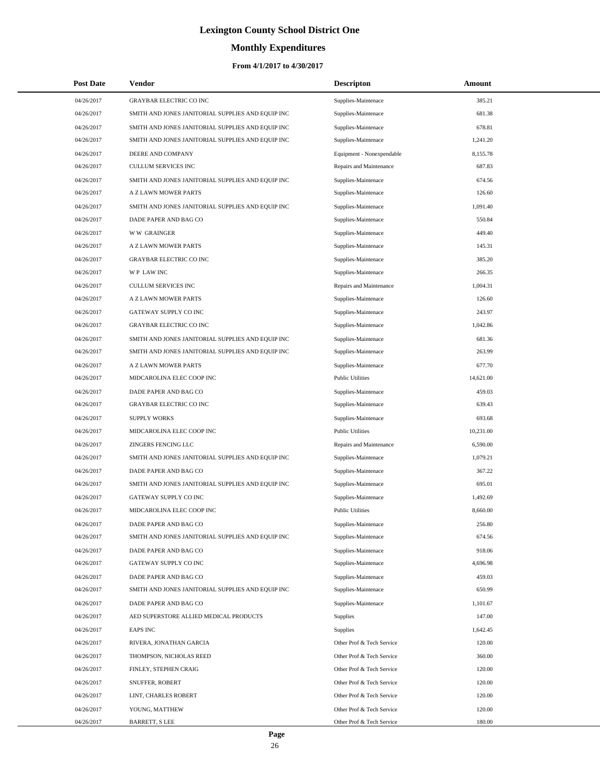# **Monthly Expenditures**

| <b>Post Date</b> | Vendor                                            | <b>Descripton</b>         | Amount    |
|------------------|---------------------------------------------------|---------------------------|-----------|
| 04/26/2017       | <b>GRAYBAR ELECTRIC CO INC</b>                    | Supplies-Maintenace       | 385.21    |
| 04/26/2017       | SMITH AND JONES JANITORIAL SUPPLIES AND EQUIP INC | Supplies-Maintenace       | 681.38    |
| 04/26/2017       | SMITH AND JONES JANITORIAL SUPPLIES AND EQUIP INC | Supplies-Maintenace       | 678.81    |
| 04/26/2017       | SMITH AND JONES JANITORIAL SUPPLIES AND EQUIP INC | Supplies-Maintenace       | 1,241.20  |
| 04/26/2017       | DEERE AND COMPANY                                 | Equipment - Nonexpendable | 8,155.78  |
| 04/26/2017       | <b>CULLUM SERVICES INC</b>                        | Repairs and Maintenance   | 687.83    |
| 04/26/2017       | SMITH AND JONES JANITORIAL SUPPLIES AND EQUIP INC | Supplies-Maintenace       | 674.56    |
| 04/26/2017       | A Z LAWN MOWER PARTS                              | Supplies-Maintenace       | 126.60    |
| 04/26/2017       | SMITH AND JONES JANITORIAL SUPPLIES AND EQUIP INC | Supplies-Maintenace       | 1,091.40  |
| 04/26/2017       | DADE PAPER AND BAG CO                             | Supplies-Maintenace       | 550.84    |
| 04/26/2017       | <b>WW GRAINGER</b>                                | Supplies-Maintenace       | 449.40    |
| 04/26/2017       | A Z LAWN MOWER PARTS                              | Supplies-Maintenace       | 145.31    |
| 04/26/2017       | <b>GRAYBAR ELECTRIC CO INC</b>                    | Supplies-Maintenace       | 385.20    |
| 04/26/2017       | <b>WP LAWINC</b>                                  | Supplies-Maintenace       | 266.35    |
| 04/26/2017       | <b>CULLUM SERVICES INC</b>                        | Repairs and Maintenance   | 1,004.31  |
| 04/26/2017       | A Z LAWN MOWER PARTS                              | Supplies-Maintenace       | 126.60    |
| 04/26/2017       | <b>GATEWAY SUPPLY CO INC</b>                      | Supplies-Maintenace       | 243.97    |
| 04/26/2017       | <b>GRAYBAR ELECTRIC CO INC</b>                    | Supplies-Maintenace       | 1,042.86  |
| 04/26/2017       | SMITH AND JONES JANITORIAL SUPPLIES AND EQUIP INC | Supplies-Maintenace       | 681.36    |
| 04/26/2017       | SMITH AND JONES JANITORIAL SUPPLIES AND EQUIP INC | Supplies-Maintenace       | 263.99    |
| 04/26/2017       | A Z LAWN MOWER PARTS                              | Supplies-Maintenace       | 677.70    |
| 04/26/2017       | MIDCAROLINA ELEC COOP INC                         | <b>Public Utilities</b>   | 14,621.00 |
| 04/26/2017       | DADE PAPER AND BAG CO                             | Supplies-Maintenace       | 459.03    |
| 04/26/2017       | <b>GRAYBAR ELECTRIC CO INC</b>                    | Supplies-Maintenace       | 639.43    |
| 04/26/2017       | <b>SUPPLY WORKS</b>                               | Supplies-Maintenace       | 693.68    |
| 04/26/2017       | MIDCAROLINA ELEC COOP INC                         | <b>Public Utilities</b>   | 10,231.00 |
| 04/26/2017       | ZINGERS FENCING LLC                               | Repairs and Maintenance   | 6,590.00  |
| 04/26/2017       | SMITH AND JONES JANITORIAL SUPPLIES AND EQUIP INC | Supplies-Maintenace       | 1,079.21  |
| 04/26/2017       | DADE PAPER AND BAG CO                             | Supplies-Maintenace       | 367.22    |
| 04/26/2017       | SMITH AND JONES JANITORIAL SUPPLIES AND EQUIP INC | Supplies-Maintenace       | 695.01    |
| 04/26/2017       | GATEWAY SUPPLY CO INC                             | Supplies-Maintenace       | 1,492.69  |
| 04/26/2017       | MIDCAROLINA ELEC COOP INC                         | <b>Public Utilities</b>   | 8,660.00  |
| 04/26/2017       | DADE PAPER AND BAG CO                             | Supplies-Maintenace       | 256.80    |
| 04/26/2017       | SMITH AND JONES JANITORIAL SUPPLIES AND EQUIP INC | Supplies-Maintenace       | 674.56    |
| 04/26/2017       | DADE PAPER AND BAG CO                             | Supplies-Maintenace       | 918.06    |
| 04/26/2017       | GATEWAY SUPPLY CO INC                             | Supplies-Maintenace       | 4,696.98  |
| 04/26/2017       | DADE PAPER AND BAG CO                             | Supplies-Maintenace       | 459.03    |
| 04/26/2017       | SMITH AND JONES JANITORIAL SUPPLIES AND EQUIP INC | Supplies-Maintenace       | 650.99    |
| 04/26/2017       | DADE PAPER AND BAG CO                             | Supplies-Maintenace       | 1,101.67  |
| 04/26/2017       | AED SUPERSTORE ALLIED MEDICAL PRODUCTS            | Supplies                  | 147.00    |
| 04/26/2017       | <b>EAPS INC</b>                                   | Supplies                  | 1,642.45  |
| 04/26/2017       | RIVERA, JONATHAN GARCIA                           | Other Prof & Tech Service | 120.00    |
| 04/26/2017       | THOMPSON, NICHOLAS REED                           | Other Prof & Tech Service | 360.00    |
| 04/26/2017       | FINLEY, STEPHEN CRAIG                             | Other Prof & Tech Service | 120.00    |
| 04/26/2017       | SNUFFER, ROBERT                                   | Other Prof & Tech Service | 120.00    |
| 04/26/2017       | LINT, CHARLES ROBERT                              | Other Prof & Tech Service | 120.00    |
| 04/26/2017       | YOUNG, MATTHEW                                    | Other Prof & Tech Service | 120.00    |
| 04/26/2017       | <b>BARRETT, S LEE</b>                             | Other Prof & Tech Service | 180.00    |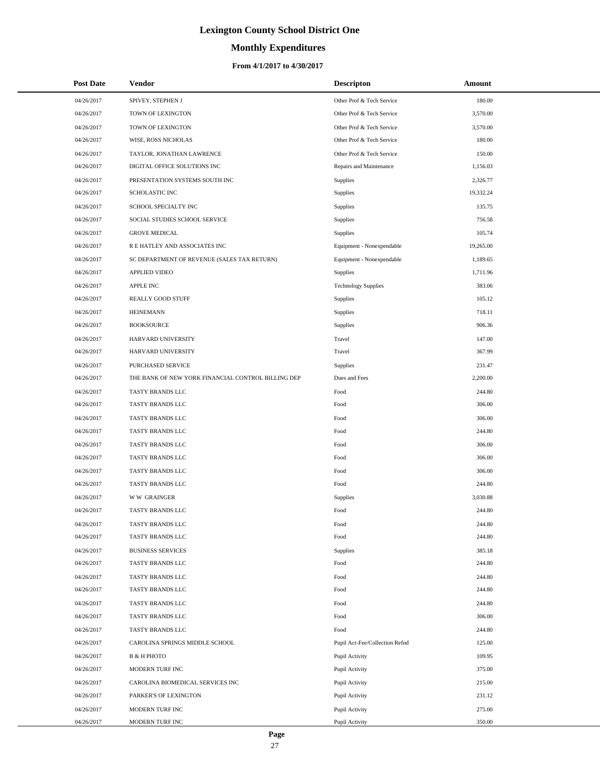# **Monthly Expenditures**

## **From 4/1/2017 to 4/30/2017**

| <b>Post Date</b> | Vendor                                             | <b>Descripton</b>              | Amount    |
|------------------|----------------------------------------------------|--------------------------------|-----------|
| 04/26/2017       | SPIVEY, STEPHEN J                                  | Other Prof & Tech Service      | 180.00    |
| 04/26/2017       | TOWN OF LEXINGTON                                  | Other Prof & Tech Service      | 3,570.00  |
| 04/26/2017       | TOWN OF LEXINGTON                                  | Other Prof & Tech Service      | 3,570.00  |
| 04/26/2017       | WISE, ROSS NICHOLAS                                | Other Prof & Tech Service      | 180.00    |
| 04/26/2017       | TAYLOR, JONATHAN LAWRENCE                          | Other Prof & Tech Service      | 150.00    |
| 04/26/2017       | DIGITAL OFFICE SOLUTIONS INC                       | Repairs and Maintenance        | 1,156.03  |
| 04/26/2017       | PRESENTATION SYSTEMS SOUTH INC                     | Supplies                       | 2,326.77  |
| 04/26/2017       | <b>SCHOLASTIC INC</b>                              | Supplies                       | 19,332.24 |
| 04/26/2017       | SCHOOL SPECIALTY INC                               | Supplies                       | 135.75    |
| 04/26/2017       | SOCIAL STUDIES SCHOOL SERVICE                      | Supplies                       | 756.58    |
| 04/26/2017       | <b>GROVE MEDICAL</b>                               | Supplies                       | 105.74    |
| 04/26/2017       | R E HATLEY AND ASSOCIATES INC                      | Equipment - Nonexpendable      | 19,265.00 |
| 04/26/2017       | SC DEPARTMENT OF REVENUE (SALES TAX RETURN)        | Equipment - Nonexpendable      | 1,189.65  |
| 04/26/2017       | <b>APPLIED VIDEO</b>                               | <b>Supplies</b>                | 1,711.96  |
| 04/26/2017       | <b>APPLE INC</b>                                   | <b>Technology Supplies</b>     | 383.06    |
| 04/26/2017       | REALLY GOOD STUFF                                  | <b>Supplies</b>                | 105.12    |
| 04/26/2017       | <b>HEINEMANN</b>                                   | Supplies                       | 718.11    |
| 04/26/2017       | <b>BOOKSOURCE</b>                                  | Supplies                       | 906.36    |
| 04/26/2017       | HARVARD UNIVERSITY                                 | Travel                         | 147.00    |
| 04/26/2017       | HARVARD UNIVERSITY                                 | Travel                         | 367.99    |
| 04/26/2017       | PURCHASED SERVICE                                  | Supplies                       | 231.47    |
| 04/26/2017       | THE BANK OF NEW YORK FINANCIAL CONTROL BILLING DEP | Dues and Fees                  | 2,200.00  |
| 04/26/2017       | TASTY BRANDS LLC                                   | Food                           | 244.80    |
| 04/26/2017       | TASTY BRANDS LLC                                   | Food                           | 306.00    |
| 04/26/2017       | TASTY BRANDS LLC                                   | Food                           | 306.00    |
| 04/26/2017       | TASTY BRANDS LLC                                   | Food                           | 244.80    |
| 04/26/2017       | TASTY BRANDS LLC                                   | Food                           | 306.00    |
| 04/26/2017       | TASTY BRANDS LLC                                   | Food                           | 306.00    |
| 04/26/2017       | TASTY BRANDS LLC                                   | Food                           | 306.00    |
| 04/26/2017       | TASTY BRANDS LLC                                   | Food                           | 244.80    |
| 04/26/2017       | <b>WW GRAINGER</b>                                 | Supplies                       | 3,030.88  |
| 04/26/2017       | TASTY BRANDS LLC                                   | Food                           | 244.80    |
| 04/26/2017       | TASTY BRANDS LLC                                   | Food                           | 244.80    |
| 04/26/2017       | TASTY BRANDS LLC                                   | Food                           | 244.80    |
| 04/26/2017       | <b>BUSINESS SERVICES</b>                           | Supplies                       | 385.18    |
| 04/26/2017       | TASTY BRANDS LLC                                   | Food                           | 244.80    |
| 04/26/2017       | TASTY BRANDS LLC                                   | Food                           | 244.80    |
| 04/26/2017       | TASTY BRANDS LLC                                   | Food                           | 244.80    |
| 04/26/2017       | TASTY BRANDS LLC                                   | Food                           | 244.80    |
| 04/26/2017       | TASTY BRANDS LLC                                   | Food                           | 306.00    |
| 04/26/2017       | TASTY BRANDS LLC                                   | Food                           | 244.80    |
| 04/26/2017       | CAROLINA SPRINGS MIDDLE SCHOOL                     | Pupil Act-Fee/Collection Refnd | 125.00    |
| 04/26/2017       | <b>B &amp; H PHOTO</b>                             | Pupil Activity                 | 109.95    |
| 04/26/2017       | MODERN TURF INC                                    | Pupil Activity                 | 375.00    |
| 04/26/2017       | CAROLINA BIOMEDICAL SERVICES INC                   | Pupil Activity                 | 215.00    |
| 04/26/2017       | PARKER'S OF LEXINGTON                              | Pupil Activity                 | 231.12    |
| 04/26/2017       | MODERN TURF INC                                    | Pupil Activity                 | 275.00    |
| 04/26/2017       | MODERN TURF INC                                    | Pupil Activity                 | 350.00    |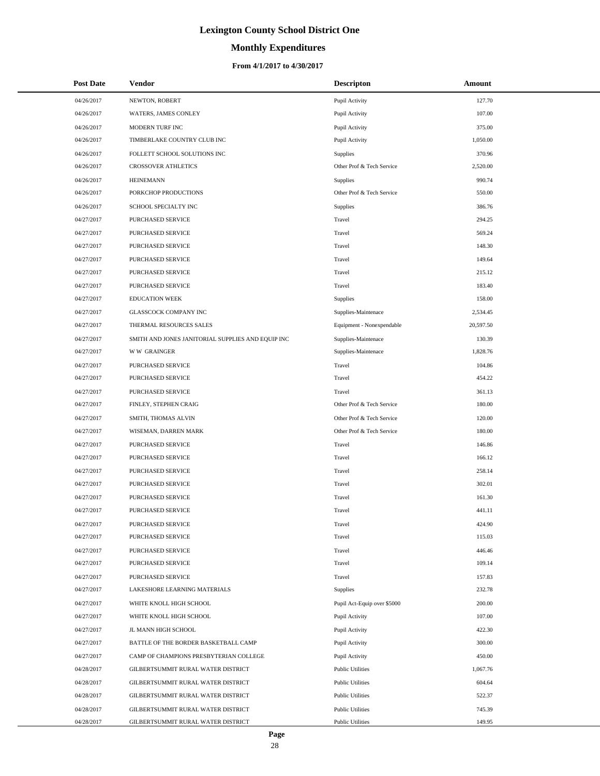# **Monthly Expenditures**

## **From 4/1/2017 to 4/30/2017**

| <b>Post Date</b> | <b>Vendor</b>                                     | <b>Descripton</b>           | Amount    |  |
|------------------|---------------------------------------------------|-----------------------------|-----------|--|
| 04/26/2017       | NEWTON, ROBERT                                    | Pupil Activity              | 127.70    |  |
| 04/26/2017       | WATERS, JAMES CONLEY                              | Pupil Activity              | 107.00    |  |
| 04/26/2017       | MODERN TURF INC                                   | Pupil Activity              | 375.00    |  |
| 04/26/2017       | TIMBERLAKE COUNTRY CLUB INC                       | Pupil Activity              | 1,050.00  |  |
| 04/26/2017       | FOLLETT SCHOOL SOLUTIONS INC                      | Supplies                    | 370.96    |  |
| 04/26/2017       | CROSSOVER ATHLETICS                               | Other Prof & Tech Service   | 2,520.00  |  |
| 04/26/2017       | <b>HEINEMANN</b>                                  | Supplies                    | 990.74    |  |
| 04/26/2017       | PORKCHOP PRODUCTIONS                              | Other Prof & Tech Service   | 550.00    |  |
| 04/26/2017       | SCHOOL SPECIALTY INC                              | Supplies                    | 386.76    |  |
| 04/27/2017       | PURCHASED SERVICE                                 | Travel                      | 294.25    |  |
| 04/27/2017       | PURCHASED SERVICE                                 | Travel                      | 569.24    |  |
| 04/27/2017       | PURCHASED SERVICE                                 | Travel                      | 148.30    |  |
| 04/27/2017       | PURCHASED SERVICE                                 | Travel                      | 149.64    |  |
| 04/27/2017       | PURCHASED SERVICE                                 | Travel                      | 215.12    |  |
| 04/27/2017       | PURCHASED SERVICE                                 | Travel                      | 183.40    |  |
| 04/27/2017       | <b>EDUCATION WEEK</b>                             | Supplies                    | 158.00    |  |
| 04/27/2017       | <b>GLASSCOCK COMPANY INC</b>                      | Supplies-Maintenace         | 2,534.45  |  |
| 04/27/2017       | THERMAL RESOURCES SALES                           | Equipment - Nonexpendable   | 20,597.50 |  |
| 04/27/2017       | SMITH AND JONES JANITORIAL SUPPLIES AND EQUIP INC | Supplies-Maintenace         | 130.39    |  |
| 04/27/2017       | <b>WW GRAINGER</b>                                | Supplies-Maintenace         | 1,828.76  |  |
| 04/27/2017       | PURCHASED SERVICE                                 | Travel                      | 104.86    |  |
| 04/27/2017       | PURCHASED SERVICE                                 | Travel                      | 454.22    |  |
| 04/27/2017       | PURCHASED SERVICE                                 | Travel                      | 361.13    |  |
| 04/27/2017       | FINLEY, STEPHEN CRAIG                             | Other Prof & Tech Service   | 180.00    |  |
| 04/27/2017       | SMITH, THOMAS ALVIN                               | Other Prof & Tech Service   | 120.00    |  |
| 04/27/2017       | WISEMAN, DARREN MARK                              | Other Prof & Tech Service   | 180.00    |  |
| 04/27/2017       | PURCHASED SERVICE                                 | Travel                      | 146.86    |  |
| 04/27/2017       | <b>PURCHASED SERVICE</b>                          | Travel                      | 166.12    |  |
| 04/27/2017       | PURCHASED SERVICE                                 | Travel                      | 258.14    |  |
| 04/27/2017       | PURCHASED SERVICE                                 | Travel                      | 302.01    |  |
| 04/27/2017       | PURCHASED SERVICE                                 | Travel                      | 161.30    |  |
| 04/27/2017       | PURCHASED SERVICE                                 | Travel                      | 441.11    |  |
| 04/27/2017       | PURCHASED SERVICE                                 | Travel                      | 424.90    |  |
| 04/27/2017       | PURCHASED SERVICE                                 | Travel                      | 115.03    |  |
| 04/27/2017       | PURCHASED SERVICE                                 | Travel                      | 446.46    |  |
| 04/27/2017       | PURCHASED SERVICE                                 | Travel                      | 109.14    |  |
| 04/27/2017       | PURCHASED SERVICE                                 | Travel                      | 157.83    |  |
| 04/27/2017       | LAKESHORE LEARNING MATERIALS                      | Supplies                    | 232.78    |  |
| 04/27/2017       | WHITE KNOLL HIGH SCHOOL                           | Pupil Act-Equip over \$5000 | 200.00    |  |
| 04/27/2017       | WHITE KNOLL HIGH SCHOOL                           | Pupil Activity              | 107.00    |  |
| 04/27/2017       | JL MANN HIGH SCHOOL                               | Pupil Activity              | 422.30    |  |
| 04/27/2017       | BATTLE OF THE BORDER BASKETBALL CAMP              | Pupil Activity              | 300.00    |  |
| 04/27/2017       | CAMP OF CHAMPIONS PRESBYTERIAN COLLEGE            | Pupil Activity              | 450.00    |  |
| 04/28/2017       | GILBERTSUMMIT RURAL WATER DISTRICT                | <b>Public Utilities</b>     | 1,067.76  |  |
| 04/28/2017       | GILBERTSUMMIT RURAL WATER DISTRICT                | <b>Public Utilities</b>     | 604.64    |  |
| 04/28/2017       | GILBERTSUMMIT RURAL WATER DISTRICT                | <b>Public Utilities</b>     | 522.37    |  |
| 04/28/2017       | GILBERTSUMMIT RURAL WATER DISTRICT                | <b>Public Utilities</b>     | 745.39    |  |
| 04/28/2017       | GILBERTSUMMIT RURAL WATER DISTRICT                | <b>Public Utilities</b>     | 149.95    |  |